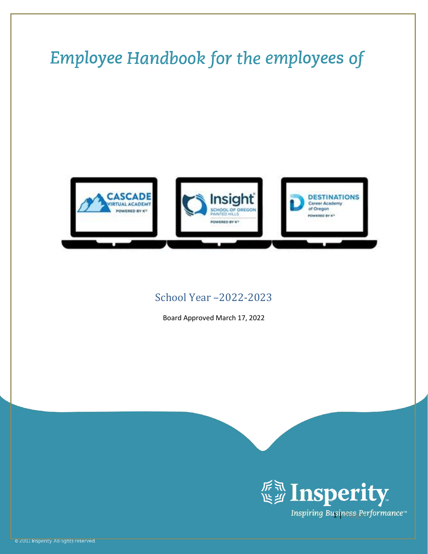# Employee Handbook for the employees of **CASCADE** Insight **DESTINATIONS** TUAL ACADEMY **Career Academy** of Oregon OF OREGON **VERED BY KT** weeke av ich OWERED BY KT

# <span id="page-0-0"></span>School Year –2022-2023

Board Approved March 17, 2022

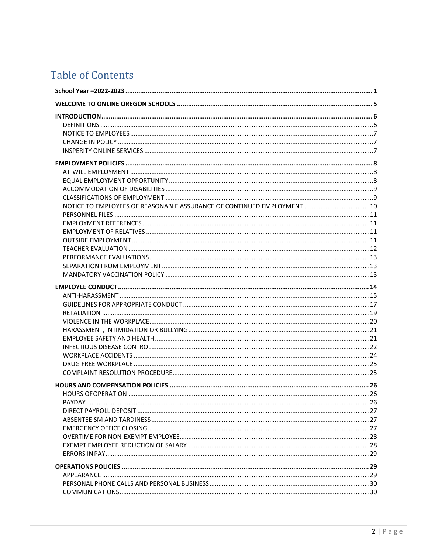# **Table of Contents**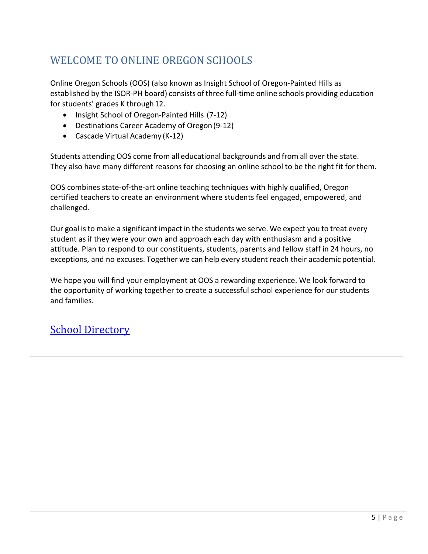# <span id="page-4-0"></span>WELCOME TO ONLINE OREGON SCHOOLS

Online Oregon Schools (OOS) (also known as Insight School of Oregon-Painted Hills as established by the ISOR-PH board) consists ofthree full-time online schools providing education for students' grades K through 12.

- Insight School of Oregon-Painted Hills (7-12)
- Destinations Career Academy of Oregon(9-12)
- Cascade Virtual Academy (K-12)

Students attending OOS come from all educational backgrounds and from all over the state. They also have many different reasons for choosing an online school to be the right fit for them.

OOS combines state-of-the-art online teaching techniques with highly qualified, Oregon certified teachers to create an environment where students feel engaged, empowered, and challenged.

Our goal isto make a significant impact in the students we serve. We expect you to treat every student as if they were your own and approach each day with enthusiasm and a positive attitude. Plan to respond to our constituents, students, parents and fellow staff in 24 hours, no exceptions, and no excuses. Together we can help every student reach their academic potential.

We hope you will find your employment at OOS a rewarding experience. We look forward to the opportunity of working together to create a successful school experience for our students and families.

# [School Directory](https://k12inc-my.sharepoint.com/:x:/r/personal/dhendrix_onlineoregon_org/Documents/1.%20OnlineOregon.org%20OneDrive%20Folder/1%20Staff/Contact%20Lists/School%20Staff%20Directory_.xlsx?d=w7f59c1dd96c443f4961bb565a5640269&csf=1&web=1&e=LWhcmb)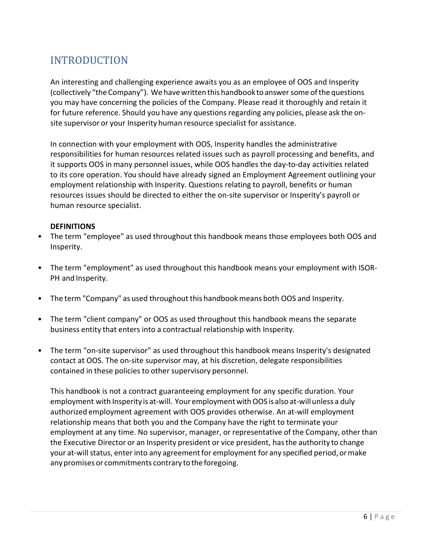# <span id="page-5-0"></span>INTRODUCTION

An interesting and challenging experience awaits you as an employee of OOS and Insperity (collectively "the Company"). We have written this handbook to answer some of the questions you may have concerning the policies of the Company. Please read it thoroughly and retain it for future reference. Should you have any questions regarding any policies, please ask the onsite supervisor or your Insperity human resource specialist for assistance.

In connection with your employment with OOS, Insperity handles the administrative responsibilities for human resources related issues such as payroll processing and benefits, and it supports OOS in many personnel issues, while OOS handles the day-to-day activities related to its core operation. You should have already signed an Employment Agreement outlining your employment relationship with Insperity. Questions relating to payroll, benefits or human resources issues should be directed to either the on-site supervisor or Insperity's payroll or human resource specialist.

#### <span id="page-5-1"></span>**DEFINITIONS**

- The term "employee" as used throughout this handbook means those employees both OOS and Insperity.
- The term "employment" as used throughout this handbook means your employment with ISOR-PH and Insperity.
- The term "Company" as used throughout this handbookmeans both OOS and Insperity.
- The term "client company" or OOS as used throughout this handbook means the separate business entity that enters into a contractual relationship with Insperity.
- The term "on-site supervisor" as used throughout this handbook means Insperity's designated contact at OOS. The on-site supervisor may, at his discretion, delegate responsibilities contained in these policies to other supervisory personnel.

This handbook is not a contract guaranteeing employment for any specific duration. Your employment with Insperity is at-will. Youremployment withOOS is also at-willunless a duly authorized employment agreement with OOS provides otherwise. An at-will employment relationship means that both you and the Company have the right to terminate your employment at any time. No supervisor, manager, or representative of the Company, other than the Executive Director or an Insperity president or vice president, hasthe authority to change your at-will status, enter into any agreement for employment for any specified period, or make any promises or commitments contrary to the foregoing.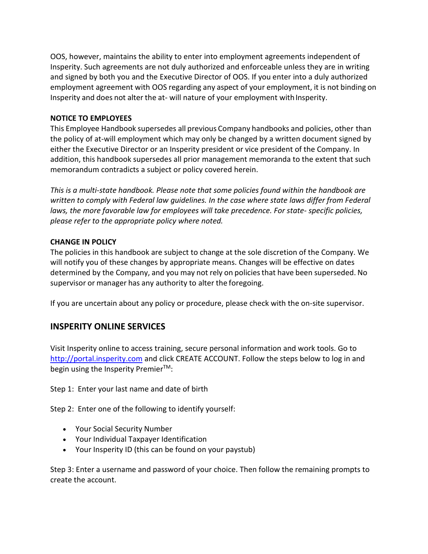OOS, however, maintains the ability to enter into employment agreements independent of Insperity. Such agreements are not duly authorized and enforceable unless they are in writing and signed by both you and the Executive Director of OOS. If you enter into a duly authorized employment agreement with OOS regarding any aspect of your employment, it is not binding on Insperity and does not alter the at-will nature of your employment with Insperity.

### <span id="page-6-0"></span>**NOTICE TO EMPLOYEES**

This Employee Handbook supersedes all previous Company handbooks and policies, other than the policy of at-will employment which may only be changed by a written document signed by either the Executive Director or an Insperity president or vice president of the Company. In addition, this handbook supersedes all prior management memoranda to the extent that such memorandum contradicts a subject or policy covered herein.

*This is a multi-state handbook. Please note that some policies found within the handbook are written to comply with Federal law guidelines. In the case where state laws differ from Federal laws, the more favorable law for employees will take precedence. For state- specific policies, please refer to the appropriate policy where noted.*

#### <span id="page-6-1"></span>**CHANGE IN POLICY**

The policies in this handbook are subject to change at the sole discretion of the Company. We will notify you of these changes by appropriate means. Changes will be effective on dates determined by the Company, and you may not rely on policiesthat have been superseded. No supervisor or manager has any authority to alter the foregoing.

If you are uncertain about any policy or procedure, please check with the on-site supervisor.

# <span id="page-6-2"></span>**INSPERITY ONLINE SERVICES**

Visit Insperity online to access training, secure personal information and work tools. Go to [http://portal.insperity.com](http://portal.insperity.com/) and click CREATE ACCOUNT. Follow the steps below to log in and begin using the Insperity Premier<sup>™</sup>:

Step 1: Enter your last name and date of birth

Step 2: Enter one of the following to identify yourself:

- Your Social Security Number
- Your Individual Taxpayer Identification
- Your Insperity ID (this can be found on your paystub)

Step 3: Enter a username and password of your choice. Then follow the remaining prompts to create the account.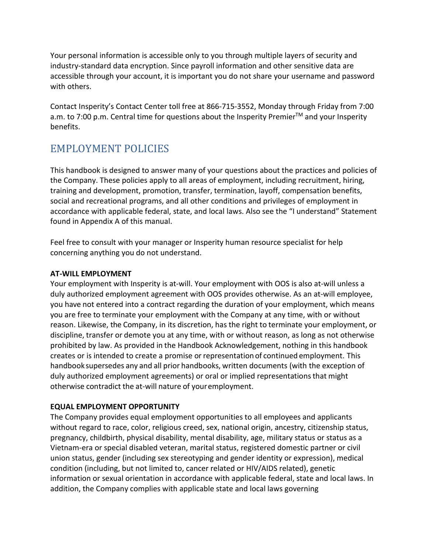Your personal information is accessible only to you through multiple layers of security and industry-standard data encryption. Since payroll information and other sensitive data are accessible through your account, it is important you do not share your username and password with others.

Contact Insperity's Contact Center toll free at 866-715-3552, Monday through Friday from 7:00 a.m. to 7:00 p.m. Central time for questions about the Insperity Premier™ and your Insperity benefits.

# <span id="page-7-0"></span>EMPLOYMENT POLICIES

This handbook is designed to answer many of your questions about the practices and policies of the Company. These policies apply to all areas of employment, including recruitment, hiring, training and development, promotion, transfer, termination, layoff, compensation benefits, social and recreational programs, and all other conditions and privileges of employment in accordance with applicable federal, state, and local laws. Also see the "I understand" Statement found in Appendix A of this manual.

Feel free to consult with your manager or Insperity human resource specialist for help concerning anything you do not understand.

### <span id="page-7-1"></span>**AT-WILL EMPLOYMENT**

Your employment with Insperity is at-will. Your employment with OOS is also at-will unless a duly authorized employment agreement with OOS provides otherwise. As an at-will employee, you have not entered into a contract regarding the duration of your employment, which means you are free to terminate your employment with the Company at any time, with or without reason. Likewise, the Company, in its discretion, has the right to terminate your employment, or discipline, transfer or demote you at any time, with or without reason, as long as not otherwise prohibited by law. As provided in the Handbook Acknowledgement, nothing in this handbook creates or is intended to create a promise or representation of continued employment. This handbook supersedes any and all prior handbooks, written documents (with the exception of duly authorized employment agreements) or oral or implied representationsthat might otherwise contradict the at-will nature of youremployment.

# <span id="page-7-2"></span>**EQUAL EMPLOYMENT OPPORTUNITY**

The Company provides equal employment opportunities to all employees and applicants without regard to race, color, religious creed, sex, national origin, ancestry, citizenship status, pregnancy, childbirth, physical disability, mental disability, age, military status or status as a Vietnam-era or special disabled veteran, marital status, registered domestic partner or civil union status, gender (including sex stereotyping and gender identity or expression), medical condition (including, but not limited to, cancer related or HIV/AIDS related), genetic information or sexual orientation in accordance with applicable federal, state and local laws. In addition, the Company complies with applicable state and local laws governing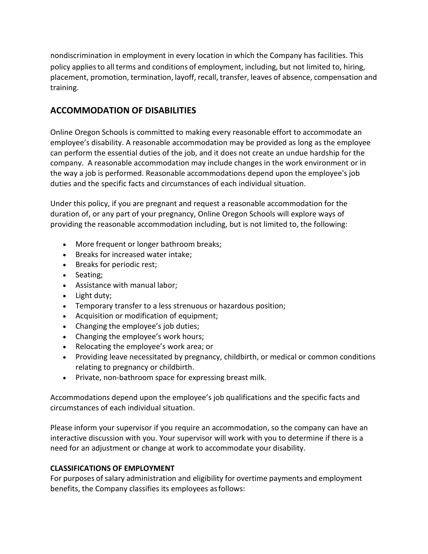nondiscrimination in employment in every location in which the Company has facilities. This policy appliesto all terms and conditions of employment, including, but not limited to, hiring, placement, promotion, termination, layoff, recall, transfer, leaves of absence, compensation and training.

# <span id="page-8-0"></span>**ACCOMMODATION OF DISABILITIES**

Online Oregon Schools is committed to making every reasonable effort to accommodate an employee's disability. A reasonable accommodation may be provided as long as the employee can perform the essential duties of the job, and it does not create an undue hardship for the company. A reasonable accommodation may include changes in the work environment or in the way a job is performed. Reasonable accommodations depend upon the employee's job duties and the specific facts and circumstances of each individual situation.

Under this policy, if you are pregnant and request a reasonable accommodation for the duration of, or any part of your pregnancy, Online Oregon Schools will explore ways of providing the reasonable accommodation including, but is not limited to, the following:

- More frequent or longer bathroom breaks;
- Breaks for increased water intake;
- Breaks for periodic rest;
- Seating;
- Assistance with manual labor;
- Light duty;
- Temporary transfer to a less strenuous or hazardous position;
- Acquisition or modification of equipment;
- Changing the employee's job duties;
- Changing the employee's work hours;
- Relocating the employee's work area; or
- Providing leave necessitated by pregnancy, childbirth, or medical or common conditions relating to pregnancy or childbirth.
- Private, non-bathroom space for expressing breast milk.

Accommodations depend upon the employee's job qualifications and the specific facts and circumstances of each individual situation.

Please inform your supervisor if you require an accommodation, so the company can have an interactive discussion with you. Your supervisor will work with you to determine if there is a need for an adjustment or change at work to accommodate your disability.

# <span id="page-8-1"></span>**CLASSIFICATIONS OF EMPLOYMENT**

For purposes of salary administration and eligibility for overtime payments and employment benefits, the Company classifies its employees asfollows: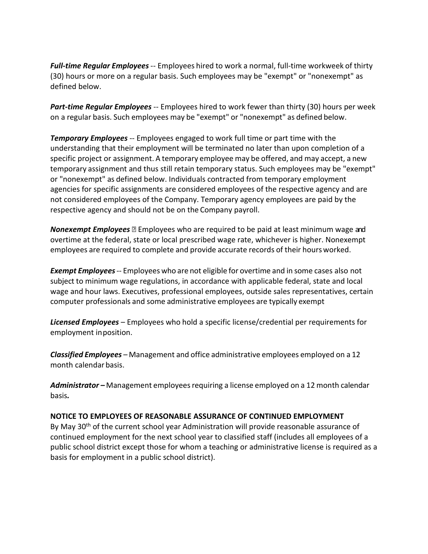*Full-time Regular Employees*-- Employees hired to work a normal, full-time workweek of thirty (30) hours or more on a regular basis. Such employees may be "exempt" or "nonexempt" as defined below.

*Part-time Regular Employees* -- Employees hired to work fewer than thirty (30) hours per week on a regular basis. Such employees may be "exempt" or "nonexempt" as defined below.

*Temporary Employees* -- Employees engaged to work full time or part time with the understanding that their employment will be terminated no later than upon completion of a specific project or assignment. A temporary employee may be offered, and may accept, a new temporary assignment and thus still retain temporary status. Such employees may be "exempt" or "nonexempt" as defined below. Individuals contracted from temporary employment agencies for specific assignments are considered employees of the respective agency and are not considered employees of the Company. Temporary agency employees are paid by the respective agency and should not be on the Company payroll.

**Nonexempt Employees E** Employees who are required to be paid at least minimum wage and overtime at the federal, state or local prescribed wage rate, whichever is higher. Nonexempt employees are required to complete and provide accurate records of their hoursworked.

*Exempt Employees*-- Employees who are not eligible for overtime and in some cases also not subject to minimum wage regulations, in accordance with applicable federal, state and local wage and hour laws. Executives, professional employees, outside sales representatives, certain computer professionals and some administrative employees are typically exempt

*Licensed Employees* – Employees who hold a specific license/credential per requirements for employment inposition.

*Classified Employees* – Management and office administrative employees employed on a 12 month calendar basis.

*Administrator –* Management employeesrequiring a license employed on a 12 month calendar basis*.*

#### <span id="page-9-0"></span>**NOTICE TO EMPLOYEES OF REASONABLE ASSURANCE OF CONTINUED EMPLOYMENT**

By May 30<sup>th</sup> of the current school year Administration will provide reasonable assurance of continued employment for the next school year to classified staff (includes all employees of a public school district except those for whom a teaching or administrative license is required as a basis for employment in a public school district).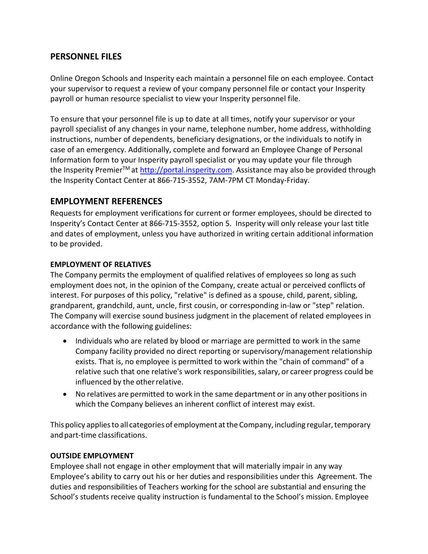# <span id="page-10-0"></span>**PERSONNEL FILES**

Online Oregon Schools and Insperity each maintain a personnel file on each employee. Contact your supervisor to request a review of your company personnel file or contact your Insperity payroll or human resource specialist to view your Insperity personnel file.

To ensure that your personnel file is up to date at all times, notify your supervisor or your payroll specialist of any changes in your name, telephone number, home address, withholding instructions, number of dependents, beneficiary designations, or the individuals to notify in case of an emergency. Additionally, complete and forward an Employee Change of Personal Information form to your Insperity payroll specialist or you may update your file through the Insperity Premier<sup>™</sup> at [http://portal.insperity.com.](http://portal.insperity.com/) Assistance may also be provided through the Insperity Contact Center at 866-715-3552, 7AM-7PM CT Monday-Friday.

# <span id="page-10-1"></span>**EMPLOYMENT REFERENCES**

Requests for employment verifications for current or former employees, should be directed to Insperity's Contact Center at 866-715-3552, option 5. Insperity will only release your last title and dates of employment, unless you have authorized in writing certain additional information to be provided.

#### <span id="page-10-2"></span>**EMPLOYMENT OF RELATIVES**

The Company permits the employment of qualified relatives of employees so long as such employment does not, in the opinion of the Company, create actual or perceived conflicts of interest. For purposes of this policy, "relative" is defined as a spouse, child, parent, sibling, grandparent, grandchild, aunt, uncle, first cousin, or corresponding in-law or "step" relation. The Company will exercise sound business judgment in the placement of related employees in accordance with the following guidelines:

- Individuals who are related by blood or marriage are permitted to work in the same Company facility provided no direct reporting or supervisory/management relationship exists. That is, no employee is permitted to work within the "chain of command" of a relative such that one relative's work responsibilities, salary, or career progress could be influenced by the otherrelative.
- No relatives are permitted to work in the same department or in any other positions in which the Company believes an inherent conflict of interest may exist.

This policy applies to all categories of employment at the Company, including regular, temporary and part-time classifications.

#### <span id="page-10-3"></span>**OUTSIDE EMPLOYMENT**

Employee shall not engage in other employment that will materially impair in any way Employee's ability to carry out his or her duties and responsibilities under this Agreement. The duties and responsibilities of Teachers working for the school are substantial and ensuring the School's students receive quality instruction is fundamental to the School's mission. Employee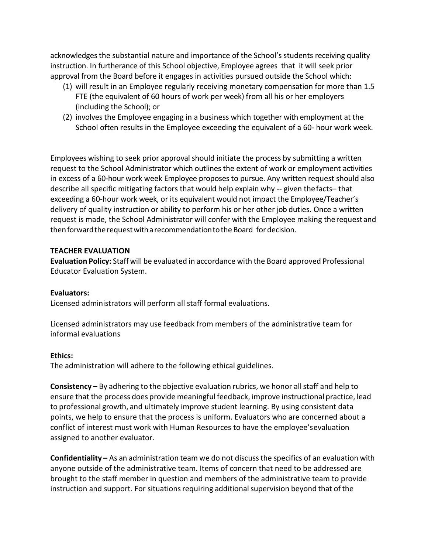acknowledges the substantial nature and importance of the School's students receiving quality instruction. In furtherance of this School objective, Employee agrees that it will seek prior approval from the Board before it engages in activities pursued outside the School which:

- (1) will result in an Employee regularly receiving monetary compensation for more than 1.5 FTE (the equivalent of 60 hours of work per week) from all his or her employers (including the School); or
- (2) involves the Employee engaging in a business which together with employment at the School often results in the Employee exceeding the equivalent of a 60- hour work week.

Employees wishing to seek prior approval should initiate the process by submitting a written request to the School Administrator which outlines the extent of work or employment activities in excess of a 60-hour work week Employee proposes to pursue. Any written request should also describe all specific mitigating factors that would help explain why -- given thefacts– that exceeding a 60-hour work week, or its equivalent would not impact the Employee/Teacher's delivery of quality instruction or ability to perform his or her other job duties. Once a written request is made, the School Administrator will confer with the Employee making therequest and then forward the request with a recommendation to the Board for decision.

#### <span id="page-11-0"></span>**TEACHER EVALUATION**

**Evaluation Policy:** Staff will be evaluated in accordance with the Board approved Professional Educator Evaluation System.

#### **Evaluators:**

Licensed administrators will perform all staff formal evaluations.

Licensed administrators may use feedback from members of the administrative team for informal evaluations

#### **Ethics:**

The administration will adhere to the following ethical guidelines.

**Consistency** – By adhering to the objective evaluation rubrics, we honor all staff and help to ensure that the process does provide meaningful feedback, improve instructional practice, lead to professional growth, and ultimately improve student learning. By using consistent data points, we help to ensure that the process is uniform. Evaluators who are concerned about a conflict of interest must work with Human Resources to have the employee'sevaluation assigned to another evaluator.

**Confidentiality –** As an administration team we do not discussthe specifics of an evaluation with anyone outside of the administrative team. Items of concern that need to be addressed are brought to the staff member in question and members of the administrative team to provide instruction and support. For situations requiring additional supervision beyond that of the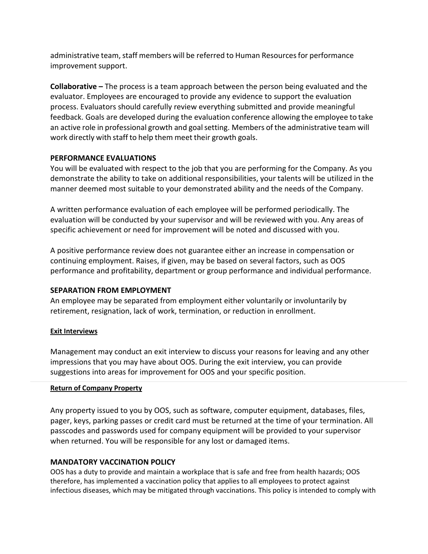administrative team, staff members will be referred to Human Resources for performance improvement support.

**Collaborative –** The process is a team approach between the person being evaluated and the evaluator. Employees are encouraged to provide any evidence to support the evaluation process. Evaluators should carefully review everything submitted and provide meaningful feedback. Goals are developed during the evaluation conference allowing the employee to take an active role in professional growth and goalsetting. Members of the administrative team will work directly with staff to help them meet their growth goals.

#### <span id="page-12-0"></span>**PERFORMANCE EVALUATIONS**

You will be evaluated with respect to the job that you are performing for the Company. As you demonstrate the ability to take on additional responsibilities, your talents will be utilized in the manner deemed most suitable to your demonstrated ability and the needs of the Company.

A written performance evaluation of each employee will be performed periodically. The evaluation will be conducted by your supervisor and will be reviewed with you. Any areas of specific achievement or need for improvement will be noted and discussed with you.

A positive performance review does not guarantee either an increase in compensation or continuing employment. Raises, if given, may be based on several factors, such as OOS performance and profitability, department or group performance and individual performance.

# <span id="page-12-1"></span>**SEPARATION FROM EMPLOYMENT**

An employee may be separated from employment either voluntarily or involuntarily by retirement, resignation, lack of work, termination, or reduction in enrollment.

#### **Exit Interviews**

Management may conduct an exit interview to discuss your reasons for leaving and any other impressions that you may have about OOS. During the exit interview, you can provide suggestions into areas for improvement for OOS and your specific position.

#### **Return of Company Property**

Any property issued to you by OOS, such as software, computer equipment, databases, files, pager, keys, parking passes or credit card must be returned at the time of your termination. All passcodes and passwords used for company equipment will be provided to your supervisor when returned. You will be responsible for any lost or damaged items.

#### <span id="page-12-2"></span>**MANDATORY VACCINATION POLICY**

OOS has a duty to provide and maintain a workplace that is safe and free from health hazards; OOS therefore, has implemented a vaccination policy that applies to all employees to protect against infectious diseases, which may be mitigated through vaccinations. This policy is intended to comply with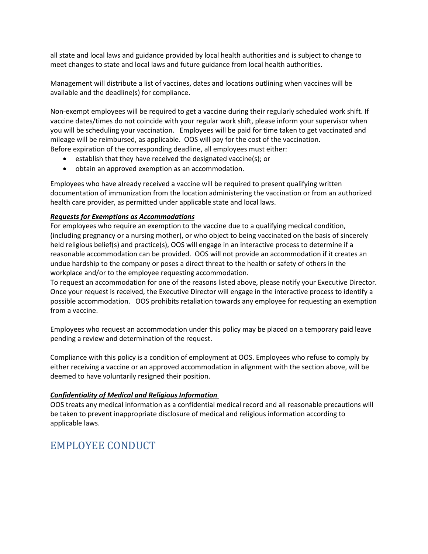all state and local laws and guidance provided by local health authorities and is subject to change to meet changes to state and local laws and future guidance from local health authorities.

Management will distribute a list of vaccines, dates and locations outlining when vaccines will be available and the deadline(s) for compliance.

Non-exempt employees will be required to get a vaccine during their regularly scheduled work shift. If vaccine dates/times do not coincide with your regular work shift, please inform your supervisor when you will be scheduling your vaccination. Employees will be paid for time taken to get vaccinated and mileage will be reimbursed, as applicable. OOS will pay for the cost of the vaccination. Before expiration of the corresponding deadline, all employees must either:

- establish that they have received the designated vaccine(s); or
- obtain an approved exemption as an accommodation.

Employees who have already received a vaccine will be required to present qualifying written documentation of immunization from the location administering the vaccination or from an authorized health care provider, as permitted under applicable state and local laws.

#### *Requests for Exemptions as Accommodations*

For employees who require an exemption to the vaccine due to a qualifying medical condition, (including pregnancy or a nursing mother), or who object to being vaccinated on the basis of sincerely held religious belief(s) and practice(s), OOS will engage in an interactive process to determine if a reasonable accommodation can be provided. OOS will not provide an accommodation if it creates an undue hardship to the company or poses a direct threat to the health or safety of others in the workplace and/or to the employee requesting accommodation.

To request an accommodation for one of the reasons listed above, please notify your Executive Director. Once your request is received, the Executive Director will engage in the interactive process to identify a possible accommodation. OOS prohibits retaliation towards any employee for requesting an exemption from a vaccine.

Employees who request an accommodation under this policy may be placed on a temporary paid leave pending a review and determination of the request.

Compliance with this policy is a condition of employment at OOS. Employees who refuse to comply by either receiving a vaccine or an approved accommodation in alignment with the section above, will be deemed to have voluntarily resigned their position.

#### *Confidentiality of Medical and Religious Information*

OOS treats any medical information as a confidential medical record and all reasonable precautions will be taken to prevent inappropriate disclosure of medical and religious information according to applicable laws.

# <span id="page-13-0"></span>EMPLOYEE CONDUCT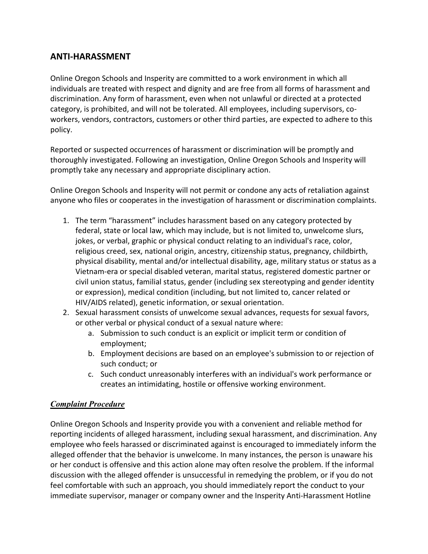# <span id="page-14-0"></span>**ANTI-HARASSMENT**

Online Oregon Schools and Insperity are committed to a work environment in which all individuals are treated with respect and dignity and are free from all forms of harassment and discrimination. Any form of harassment, even when not unlawful or directed at a protected category, is prohibited, and will not be tolerated. All employees, including supervisors, coworkers, vendors, contractors, customers or other third parties, are expected to adhere to this policy.

Reported or suspected occurrences of harassment or discrimination will be promptly and thoroughly investigated. Following an investigation, Online Oregon Schools and Insperity will promptly take any necessary and appropriate disciplinary action.

Online Oregon Schools and Insperity will not permit or condone any acts of retaliation against anyone who files or cooperates in the investigation of harassment or discrimination complaints.

- 1. The term "harassment" includes harassment based on any category protected by federal, state or local law, which may include, but is not limited to, unwelcome slurs, jokes, or verbal, graphic or physical conduct relating to an individual's race, color, religious creed, sex, national origin, ancestry, citizenship status, pregnancy, childbirth, physical disability, mental and/or intellectual disability, age, military status or status as a Vietnam-era or special disabled veteran, marital status, registered domestic partner or civil union status, familial status, gender (including sex stereotyping and gender identity or expression), medical condition (including, but not limited to, cancer related or HIV/AIDS related), genetic information, or sexual orientation.
- 2. Sexual harassment consists of unwelcome sexual advances, requests for sexual favors, or other verbal or physical conduct of a sexual nature where:
	- a. Submission to such conduct is an explicit or implicit term or condition of employment;
	- b. Employment decisions are based on an employee's submission to or rejection of such conduct; or
	- c. Such conduct unreasonably interferes with an individual's work performance or creates an intimidating, hostile or offensive working environment.

# *Complaint Procedure*

Online Oregon Schools and Insperity provide you with a convenient and reliable method for reporting incidents of alleged harassment, including sexual harassment, and discrimination. Any employee who feels harassed or discriminated against is encouraged to immediately inform the alleged offender that the behavior is unwelcome. In many instances, the person is unaware his or her conduct is offensive and this action alone may often resolve the problem. If the informal discussion with the alleged offender is unsuccessful in remedying the problem, or if you do not feel comfortable with such an approach, you should immediately report the conduct to your immediate supervisor, manager or company owner and the Insperity Anti-Harassment Hotline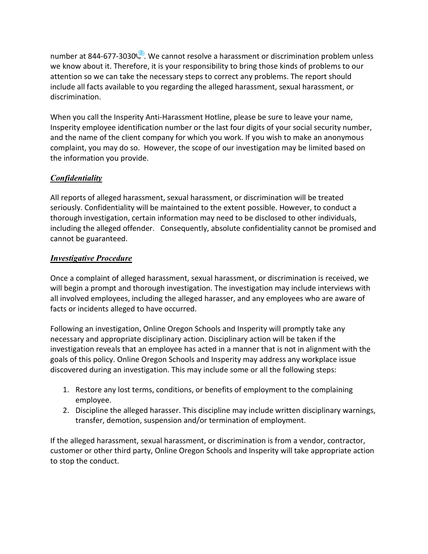number at 844-677-3030<sup>8</sup>. We cannot resolve a harassment or discrimination problem unless we know about it. Therefore, it is your responsibility to bring those kinds of problems to our attention so we can take the necessary steps to correct any problems. The report should include all facts available to you regarding the alleged harassment, sexual harassment, or discrimination.

When you call the Insperity Anti-Harassment Hotline, please be sure to leave your name, Insperity employee identification number or the last four digits of your social security number, and the name of the client company for which you work. If you wish to make an anonymous complaint, you may do so. However, the scope of our investigation may be limited based on the information you provide.

# *Confidentiality*

All reports of alleged harassment, sexual harassment, or discrimination will be treated seriously. Confidentiality will be maintained to the extent possible. However, to conduct a thorough investigation, certain information may need to be disclosed to other individuals, including the alleged offender. Consequently, absolute confidentiality cannot be promised and cannot be guaranteed.

# *Investigative Procedure*

Once a complaint of alleged harassment, sexual harassment, or discrimination is received, we will begin a prompt and thorough investigation. The investigation may include interviews with all involved employees, including the alleged harasser, and any employees who are aware of facts or incidents alleged to have occurred.

Following an investigation, Online Oregon Schools and Insperity will promptly take any necessary and appropriate disciplinary action. Disciplinary action will be taken if the investigation reveals that an employee has acted in a manner that is not in alignment with the goals of this policy. Online Oregon Schools and Insperity may address any workplace issue discovered during an investigation. This may include some or all the following steps:

- 1. Restore any lost terms, conditions, or benefits of employment to the complaining employee.
- 2. Discipline the alleged harasser. This discipline may include written disciplinary warnings, transfer, demotion, suspension and/or termination of employment.

If the alleged harassment, sexual harassment, or discrimination is from a vendor, contractor, customer or other third party, Online Oregon Schools and Insperity will take appropriate action to stop the conduct.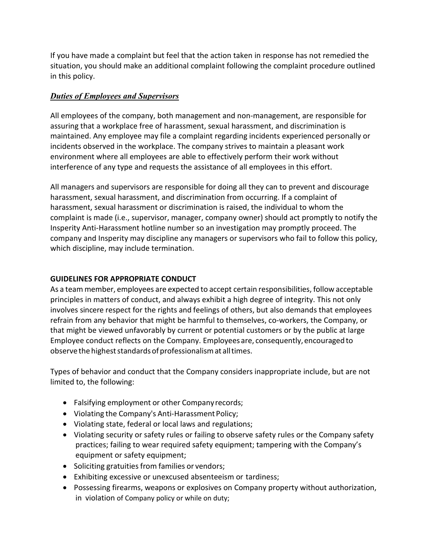If you have made a complaint but feel that the action taken in response has not remedied the situation, you should make an additional complaint following the complaint procedure outlined in this policy.

# *Duties of Employees and Supervisors*

All employees of the company, both management and non-management, are responsible for assuring that a workplace free of harassment, sexual harassment, and discrimination is maintained. Any employee may file a complaint regarding incidents experienced personally or incidents observed in the workplace. The company strives to maintain a pleasant work environment where all employees are able to effectively perform their work without interference of any type and requests the assistance of all employees in this effort.

All managers and supervisors are responsible for doing all they can to prevent and discourage harassment, sexual harassment, and discrimination from occurring. If a complaint of harassment, sexual harassment or discrimination is raised, the individual to whom the complaint is made (i.e., supervisor, manager, company owner) should act promptly to notify the Insperity Anti-Harassment hotline number so an investigation may promptly proceed. The company and Insperity may discipline any managers or supervisors who fail to follow this policy, which discipline, may include termination.

# <span id="page-16-0"></span>**GUIDELINES FOR APPROPRIATE CONDUCT**

As a team member, employees are expected to accept certain responsibilities, follow acceptable principles in matters of conduct, and always exhibit a high degree of integrity. This not only involves sincere respect for the rights and feelings of others, but also demands that employees refrain from any behavior that might be harmful to themselves, co-workers, the Company, or that might be viewed unfavorably by current or potential customers or by the public at large Employee conduct reflects on the Company. Employees are, consequently,encouraged to observe the highest standards of professionalism at all times.

Types of behavior and conduct that the Company considers inappropriate include, but are not limited to, the following:

- Falsifying employment or other Companyrecords;
- Violating the Company's Anti-Harassment Policy;
- Violating state, federal or local laws and regulations;
- Violating security or safety rules or failing to observe safety rules or the Company safety practices; failing to wear required safety equipment; tampering with the Company's equipment or safety equipment;
- Soliciting gratuities from families or vendors;
- Exhibiting excessive or unexcused absenteeism or tardiness;
- Possessing firearms, weapons or explosives on Company property without authorization, in violation of Company policy or while on duty;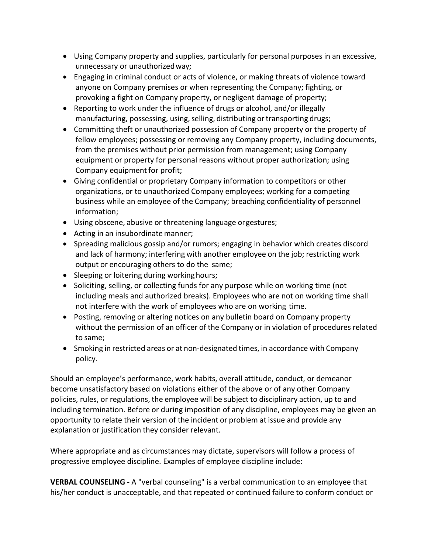- Using Company property and supplies, particularly for personal purposes in an excessive, unnecessary or unauthorizedway;
- Engaging in criminal conduct or acts of violence, or making threats of violence toward anyone on Company premises or when representing the Company; fighting, or provoking a fight on Company property, or negligent damage of property;
- Reporting to work under the influence of drugs or alcohol, and/or illegally manufacturing, possessing, using, selling, distributing or transporting drugs;
- Committing theft or unauthorized possession of Company property or the property of fellow employees; possessing or removing any Company property, including documents, from the premises without prior permission from management; using Company equipment or property for personal reasons without proper authorization; using Company equipment for profit;
- Giving confidential or proprietary Company information to competitors or other organizations, or to unauthorized Company employees; working for a competing business while an employee of the Company; breaching confidentiality of personnel information;
- Using obscene, abusive or threatening language orgestures;
- Acting in an insubordinate manner;
- Spreading malicious gossip and/or rumors; engaging in behavior which creates discord and lack of harmony; interfering with another employee on the job; restricting work output or encouraging others to do the same;
- Sleeping or loitering during working hours;
- Soliciting, selling, or collecting funds for any purpose while on working time (not including meals and authorized breaks). Employees who are not on working time shall not interfere with the work of employees who are on working time.
- Posting, removing or altering notices on any bulletin board on Company property without the permission of an officer of the Company or in violation of procedures related to same;
- Smoking in restricted areas or at non-designated times, in accordance with Company policy.

Should an employee's performance, work habits, overall attitude, conduct, or demeanor become unsatisfactory based on violations either of the above or of any other Company policies, rules, or regulations, the employee will be subject to disciplinary action, up to and including termination. Before or during imposition of any discipline, employees may be given an opportunity to relate their version of the incident or problem at issue and provide any explanation or justification they consider relevant.

Where appropriate and as circumstances may dictate, supervisors will follow a process of progressive employee discipline. Examples of employee discipline include:

**VERBAL COUNSELING** - A "verbal counseling" is a verbal communication to an employee that his/her conduct is unacceptable, and that repeated or continued failure to conform conduct or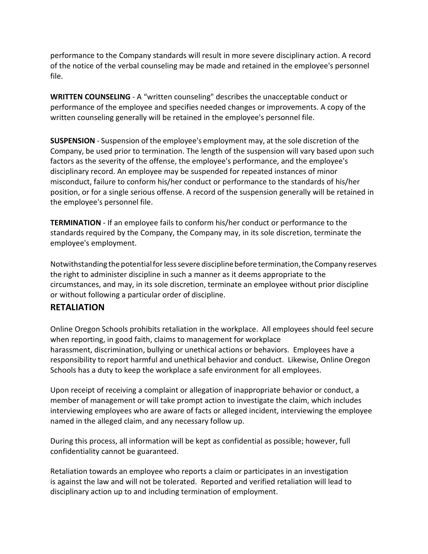performance to the Company standards will result in more severe disciplinary action. A record of the notice of the verbal counseling may be made and retained in the employee's personnel file.

**WRITTEN COUNSELING** - A "written counseling" describes the unacceptable conduct or performance of the employee and specifies needed changes or improvements. A copy of the written counseling generally will be retained in the employee's personnel file.

**SUSPENSION** - Suspension of the employee's employment may, at the sole discretion of the Company, be used prior to termination. The length of the suspension will vary based upon such factors as the severity of the offense, the employee's performance, and the employee's disciplinary record. An employee may be suspended for repeated instances of minor misconduct, failure to conform his/her conduct or performance to the standards of his/her position, or for a single serious offense. A record of the suspension generally will be retained in the employee's personnel file.

**TERMINATION** - If an employee fails to conform his/her conduct or performance to the standards required by the Company, the Company may, in its sole discretion, terminate the employee's employment.

Notwithstanding the potentialforlesssevere disciplinebeforetermination,the Company reserves the right to administer discipline in such a manner as it deems appropriate to the circumstances, and may, in its sole discretion, terminate an employee without prior discipline or without following a particular order of discipline.

# <span id="page-18-0"></span>**RETALIATION**

Online Oregon Schools prohibits retaliation in the workplace. All employees should feel secure when reporting, in good faith, claims to management for workplace harassment, discrimination, bullying or unethical actions or behaviors. Employees have a responsibility to report harmful and unethical behavior and conduct. Likewise, Online Oregon Schools has a duty to keep the workplace a safe environment for all employees.

Upon receipt of receiving a complaint or allegation of inappropriate behavior or conduct, a member of management or will take prompt action to investigate the claim, which includes interviewing employees who are aware of facts or alleged incident, interviewing the employee named in the alleged claim, and any necessary follow up.

During this process, all information will be kept as confidential as possible; however, full confidentiality cannot be guaranteed.

Retaliation towards an employee who reports a claim or participates in an investigation is against the law and will not be tolerated. Reported and verified retaliation will lead to disciplinary action up to and including termination of employment.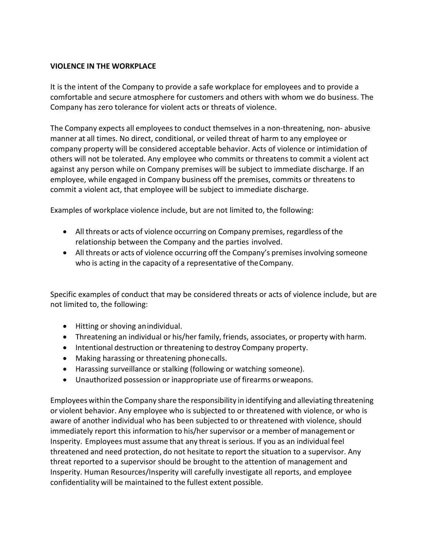#### <span id="page-19-0"></span>**VIOLENCE IN THE WORKPLACE**

It is the intent of the Company to provide a safe workplace for employees and to provide a comfortable and secure atmosphere for customers and others with whom we do business. The Company has zero tolerance for violent acts or threats of violence.

The Company expects all employees to conduct themselves in a non-threatening, non-abusive manner at all times. No direct, conditional, or veiled threat of harm to any employee or company property will be considered acceptable behavior. Acts of violence or intimidation of others will not be tolerated. Any employee who commits or threatens to commit a violent act against any person while on Company premises will be subject to immediate discharge. If an employee, while engaged in Company business off the premises, commits or threatens to commit a violent act, that employee will be subject to immediate discharge.

Examples of workplace violence include, but are not limited to, the following:

- All threats or acts of violence occurring on Company premises, regardless of the relationship between the Company and the parties involved.
- All threats or acts of violence occurring off the Company's premises involving someone who is acting in the capacity of a representative of theCompany.

Specific examples of conduct that may be considered threats or acts of violence include, but are not limited to, the following:

- Hitting or shoving anindividual.
- Threatening an individual or his/her family, friends, associates, or property with harm.
- Intentional destruction or threatening to destroy Company property.
- Making harassing or threatening phonecalls.
- Harassing surveillance or stalking (following or watching someone).
- Unauthorized possession or inappropriate use of firearms orweapons.

Employees within the Company share the responsibility in identifying and alleviating threatening or violent behavior. Any employee who is subjected to or threatened with violence, or who is aware of another individual who has been subjected to or threatened with violence, should immediately report this information to his/her supervisor or a member of management or Insperity. Employees must assume that any threat is serious. If you as an individual feel threatened and need protection, do not hesitate to report the situation to a supervisor. Any threat reported to a supervisor should be brought to the attention of management and Insperity. Human Resources/Insperity will carefully investigate all reports, and employee confidentiality will be maintained to the fullest extent possible.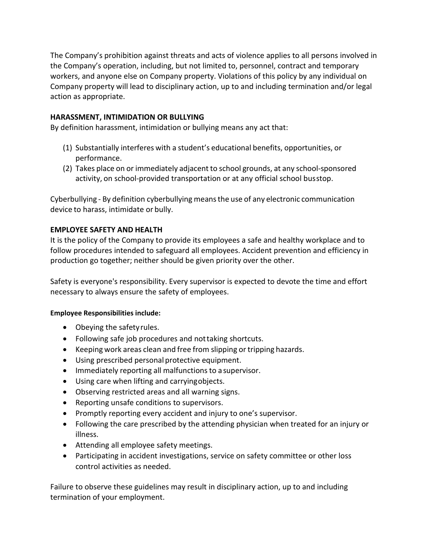The Company's prohibition against threats and acts of violence applies to all persons involved in the Company's operation, including, but not limited to, personnel, contract and temporary workers, and anyone else on Company property. Violations of this policy by any individual on Company property will lead to disciplinary action, up to and including termination and/or legal action as appropriate.

# <span id="page-20-0"></span>**HARASSMENT, INTIMIDATION OR BULLYING**

By definition harassment, intimidation or bullying means any act that:

- (1) Substantially interferes with a student's educational benefits, opportunities, or performance.
- (2) Takes place on or immediately adjacent to school grounds, at any school-sponsored activity, on school-provided transportation or at any official school busstop.

Cyberbullying - By definition cyberbullying meansthe use of any electronic communication device to harass, intimidate or bully.

# <span id="page-20-1"></span>**EMPLOYEE SAFETY AND HEALTH**

It is the policy of the Company to provide its employees a safe and healthy workplace and to follow procedures intended to safeguard all employees. Accident prevention and efficiency in production go together; neither should be given priority over the other.

Safety is everyone's responsibility. Every supervisor is expected to devote the time and effort necessary to always ensure the safety of employees.

# **Employee Responsibilities include:**

- Obeying the safetyrules.
- Following safe job procedures and nottaking shortcuts.
- Keeping work areas clean and free from slipping or tripping hazards.
- Using prescribed personal protective equipment.
- Immediately reporting all malfunctions to a supervisor.
- Using care when lifting and carryingobjects.
- Observing restricted areas and all warning signs.
- Reporting unsafe conditions to supervisors.
- Promptly reporting every accident and injury to one's supervisor.
- Following the care prescribed by the attending physician when treated for an injury or illness.
- Attending all employee safety meetings.
- Participating in accident investigations, service on safety committee or other loss control activities as needed.

Failure to observe these guidelines may result in disciplinary action, up to and including termination of your employment.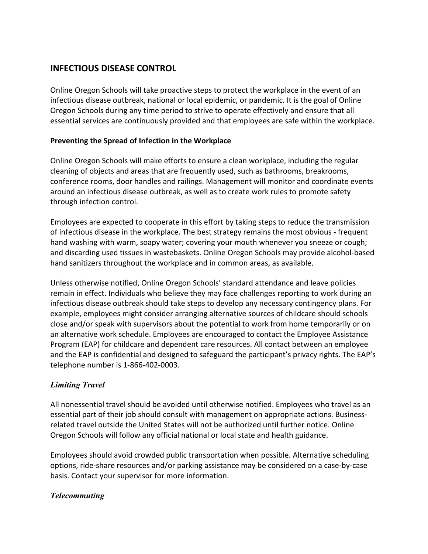# <span id="page-21-0"></span>**INFECTIOUS DISEASE CONTROL**

Online Oregon Schools will take proactive steps to protect the workplace in the event of an infectious disease outbreak, national or local epidemic, or pandemic. It is the goal of Online Oregon Schools during any time period to strive to operate effectively and ensure that all essential services are continuously provided and that employees are safe within the workplace.

# **Preventing the Spread of Infection in the Workplace**

Online Oregon Schools will make efforts to ensure a clean workplace, including the regular cleaning of objects and areas that are frequently used, such as bathrooms, breakrooms, conference rooms, door handles and railings. Management will monitor and coordinate events around an infectious disease outbreak, as well as to create work rules to promote safety through infection control.

Employees are expected to cooperate in this effort by taking steps to reduce the transmission of infectious disease in the workplace. The best strategy remains the most obvious - frequent hand washing with warm, soapy water; covering your mouth whenever you sneeze or cough; and discarding used tissues in wastebaskets. Online Oregon Schools may provide alcohol-based hand sanitizers throughout the workplace and in common areas, as available.

Unless otherwise notified, Online Oregon Schools' standard attendance and leave policies remain in effect. Individuals who believe they may face challenges reporting to work during an infectious disease outbreak should take steps to develop any necessary contingency plans. For example, employees might consider arranging alternative sources of childcare should schools close and/or speak with supervisors about the potential to work from home temporarily or on an alternative work schedule. Employees are encouraged to contact the Employee Assistance Program (EAP) for childcare and dependent care resources. All contact between an employee and the EAP is confidential and designed to safeguard the participant's privacy rights. The EAP's telephone number is 1-866-402-0003.

# *Limiting Travel*

All nonessential travel should be avoided until otherwise notified. Employees who travel as an essential part of their job should consult with management on appropriate actions. Businessrelated travel outside the United States will not be authorized until further notice. Online Oregon Schools will follow any official national or local state and health guidance.

Employees should avoid crowded public transportation when possible. Alternative scheduling options, ride-share resources and/or parking assistance may be considered on a case-by-case basis. Contact your supervisor for more information.

# *Telecommuting*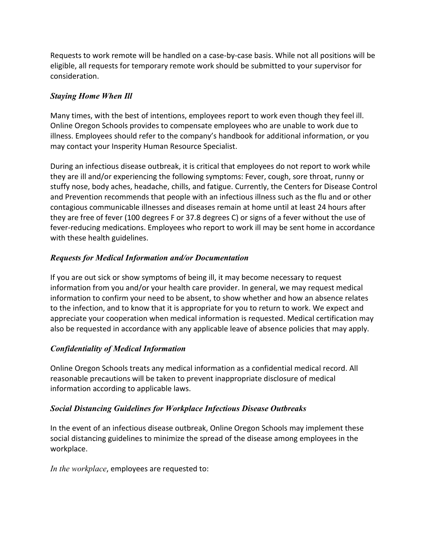Requests to work remote will be handled on a case-by-case basis. While not all positions will be eligible, all requests for temporary remote work should be submitted to your supervisor for consideration.

# *Staying Home When Ill*

Many times, with the best of intentions, employees report to work even though they feel ill. Online Oregon Schools provides to compensate employees who are unable to work due to illness. Employees should refer to the company's handbook for additional information, or you may contact your Insperity Human Resource Specialist.

During an infectious disease outbreak, it is critical that employees do not report to work while they are ill and/or experiencing the following symptoms: Fever, cough, sore throat, runny or stuffy nose, body aches, headache, chills, and fatigue. Currently, the Centers for Disease Control and Prevention recommends that people with an infectious illness such as the flu and or other contagious communicable illnesses and diseases remain at home until at least 24 hours after they are free of fever (100 degrees F or 37.8 degrees C) or signs of a fever without the use of fever-reducing medications. Employees who report to work ill may be sent home in accordance with these health guidelines.

# *Requests for Medical Information and/or Documentation*

If you are out sick or show symptoms of being ill, it may become necessary to request information from you and/or your health care provider. In general, we may request medical information to confirm your need to be absent, to show whether and how an absence relates to the infection, and to know that it is appropriate for you to return to work. We expect and appreciate your cooperation when medical information is requested. Medical certification may also be requested in accordance with any applicable leave of absence policies that may apply.

# *Confidentiality of Medical Information*

Online Oregon Schools treats any medical information as a confidential medical record. All reasonable precautions will be taken to prevent inappropriate disclosure of medical information according to applicable laws.

# *Social Distancing Guidelines for Workplace Infectious Disease Outbreaks*

In the event of an infectious disease outbreak, Online Oregon Schools may implement these social distancing guidelines to minimize the spread of the disease among employees in the workplace.

*In the workplace*, employees are requested to: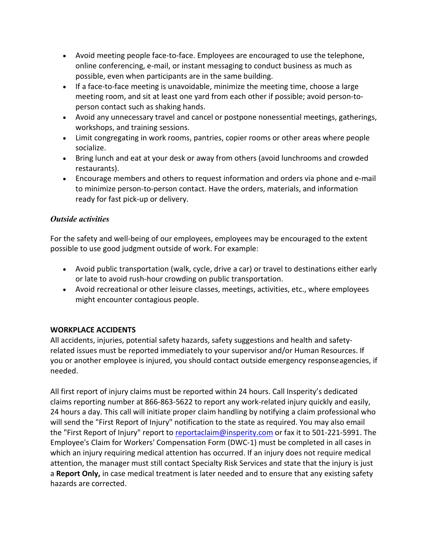- Avoid meeting people face-to-face. Employees are encouraged to use the telephone, online conferencing, e-mail, or instant messaging to conduct business as much as possible, even when participants are in the same building.
- If a face-to-face meeting is unavoidable, minimize the meeting time, choose a large meeting room, and sit at least one yard from each other if possible; avoid person-toperson contact such as shaking hands.
- Avoid any unnecessary travel and cancel or postpone nonessential meetings, gatherings, workshops, and training sessions.
- Limit congregating in work rooms, pantries, copier rooms or other areas where people socialize.
- Bring lunch and eat at your desk or away from others (avoid lunchrooms and crowded restaurants).
- Encourage members and others to request information and orders via phone and e-mail to minimize person-to-person contact. Have the orders, materials, and information ready for fast pick-up or delivery.

# *Outside activities*

For the safety and well-being of our employees, employees may be encouraged to the extent possible to use good judgment outside of work. For example:

- Avoid public transportation (walk, cycle, drive a car) or travel to destinations either early or late to avoid rush-hour crowding on public transportation.
- Avoid recreational or other leisure classes, meetings, activities, etc., where employees might encounter contagious people.

# <span id="page-23-0"></span>**WORKPLACE ACCIDENTS**

All accidents, injuries, potential safety hazards, safety suggestions and health and safetyrelated issues must be reported immediately to your supervisor and/or Human Resources. If you or another employee is injured, you should contact outside emergency responseagencies, if needed.

All first report of injury claims must be reported within 24 hours. Call Insperity's dedicated claims reporting number at 866-863-5622 to report any work-related injury quickly and easily, 24 hours a day. This call will initiate proper claim handling by notifying a claim professional who will send the "First Report of Injury" notification to the state as required. You may also email the "First Report of Injury" report to [reportaclaim@insperity.com](mailto:reportaclaim@insperity.com) or fax it to 501-221-5991. The Employee's Claim for Workers' Compensation Form (DWC-1) must be completed in all cases in which an injury requiring medical attention has occurred. If an injury does not require medical attention, the manager must still contact Specialty Risk Services and state that the injury is just a **Report Only,** in case medical treatment is later needed and to ensure that any existing safety hazards are corrected.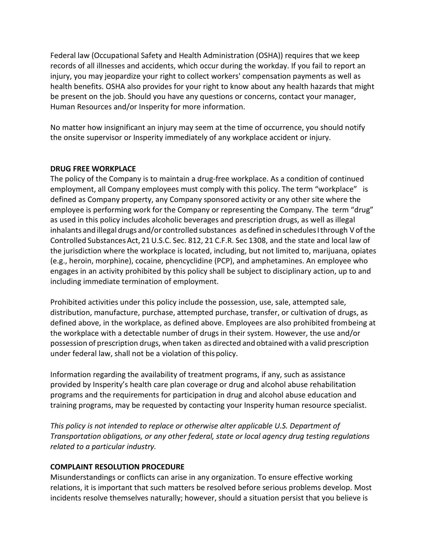Federal law (Occupational Safety and Health Administration (OSHA)) requires that we keep records of all illnesses and accidents, which occur during the workday. If you fail to report an injury, you may jeopardize your right to collect workers' compensation payments as well as health benefits. OSHA also provides for your right to know about any health hazards that might be present on the job. Should you have any questions or concerns, contact your manager, Human Resources and/or Insperity for more information.

No matter how insignificant an injury may seem at the time of occurrence, you should notify the onsite supervisor or Insperity immediately of any workplace accident or injury.

#### <span id="page-24-0"></span>**DRUG FREE WORKPLACE**

The policy of the Company is to maintain a drug-free workplace. As a condition of continued employment, all Company employees must comply with this policy. The term "workplace" is defined as Company property, any Company sponsored activity or any other site where the employee is performing work for the Company or representing the Company. The term "drug" as used in this policy includes alcoholic beverages and prescription drugs, as well as illegal inhalants and illegal drugs and/or controlled substances as defined in schedules I through V of the Controlled SubstancesAct, 21U.S.C. Sec. 812, 21 C.F.R. Sec 1308, and the state and local law of the jurisdiction where the workplace is located, including, but not limited to, marijuana, opiates (e.g., heroin, morphine), cocaine, phencyclidine (PCP), and amphetamines. An employee who engages in an activity prohibited by this policy shall be subject to disciplinary action, up to and including immediate termination of employment.

Prohibited activities under this policy include the possession, use, sale, attempted sale, distribution, manufacture, purchase, attempted purchase, transfer, or cultivation of drugs, as defined above, in the workplace, as defined above. Employees are also prohibited frombeing at the workplace with a detectable number of drugs in their system. However, the use and/or possession of prescription drugs, when taken as directed and obtained with a valid prescription under federal law, shall not be a violation of thispolicy.

Information regarding the availability of treatment programs, if any, such as assistance provided by Insperity's health care plan coverage or drug and alcohol abuse rehabilitation programs and the requirements for participation in drug and alcohol abuse education and training programs, may be requested by contacting your Insperity human resource specialist.

*This policy is not intended to replace or otherwise alter applicable U.S. Department of Transportation obligations, or any other federal, state or local agency drug testing regulations related to a particular industry.*

# <span id="page-24-1"></span>**COMPLAINT RESOLUTION PROCEDURE**

Misunderstandings or conflicts can arise in any organization. To ensure effective working relations, it is important that such matters be resolved before serious problems develop. Most incidents resolve themselves naturally; however, should a situation persist that you believe is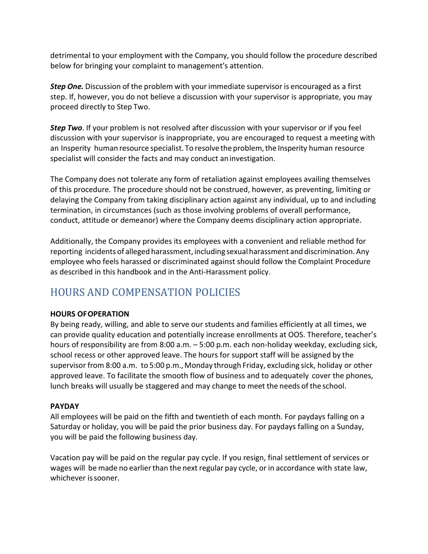detrimental to your employment with the Company, you should follow the procedure described below for bringing your complaint to management's attention.

*Step One.* Discussion of the problem with yourimmediate supervisor is encouraged as a first step. If, however, you do not believe a discussion with your supervisor is appropriate, you may proceed directly to Step Two.

*Step Two*. If your problem is not resolved after discussion with your supervisor or if you feel discussion with your supervisor is inappropriate, you are encouraged to request a meeting with an Insperity human resource specialist. To resolvethe problem,the Insperity human resource specialist will consider the facts and may conduct aninvestigation.

The Company does not tolerate any form of retaliation against employees availing themselves of this procedure. The procedure should not be construed, however, as preventing, limiting or delaying the Company from taking disciplinary action against any individual, up to and including termination, in circumstances (such as those involving problems of overall performance, conduct, attitude or demeanor) where the Company deems disciplinary action appropriate.

Additionally, the Company provides its employees with a convenient and reliable method for reporting incidents of alleged harassment, including sexualharassment and discrimination.Any employee who feels harassed or discriminated against should follow the Complaint Procedure as described in this handbook and in the Anti-Harassment policy.

# <span id="page-25-0"></span>HOURS AND COMPENSATION POLICIES

# <span id="page-25-1"></span>**HOURS OFOPERATION**

By being ready, willing, and able to serve our students and families efficiently at all times, we can provide quality education and potentially increase enrollments at OOS. Therefore, teacher's hours of responsibility are from 8:00 a.m. – 5:00 p.m. each non-holiday weekday, excluding sick, school recess or other approved leave. The hours for support staff will be assigned by the supervisor from 8:00 a.m. to 5:00 p.m., Monday through Friday, excluding sick, holiday or other approved leave. To facilitate the smooth flow of business and to adequately cover the phones, lunch breaks will usually be staggered and may change to meet the needs of the school.

#### <span id="page-25-2"></span>**PAYDAY**

All employees will be paid on the fifth and twentieth of each month. For paydays falling on a Saturday or holiday, you will be paid the prior business day. For paydays falling on a Sunday, you will be paid the following business day.

Vacation pay will be paid on the regular pay cycle. If you resign, final settlement of services or wages will be made no earlier than the next regular pay cycle, or in accordance with state law, whichever issooner.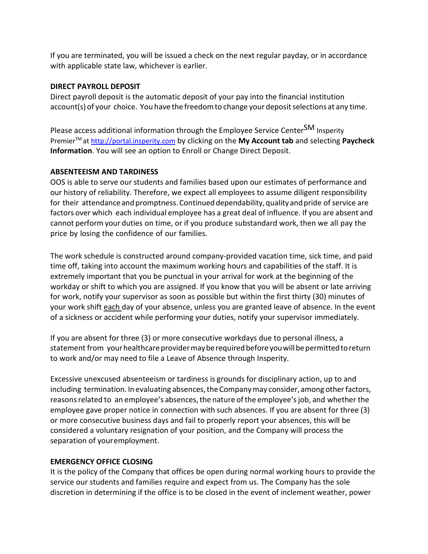If you are terminated, you will be issued a check on the next regular payday, or in accordance with applicable state law, whichever is earlier.

### <span id="page-26-0"></span>**DIRECT PAYROLL DEPOSIT**

Direct payroll deposit is the automatic deposit of your pay into the financial institution account(s) of your choice. You have the freedom to change your deposit selections at any time.

Please access additional information through the Employee Service Center<sup>SM</sup> Insperity PremierTM at [http://portal.insperity.com](http://portal.insperity.com/) by clicking on the **My Account tab** and selecting **Paycheck Information**. You will see an option to Enroll or Change Direct Deposit.

#### <span id="page-26-1"></span>**ABSENTEEISM AND TARDINESS**

OOS is able to serve our students and families based upon our estimates of performance and our history of reliability. Therefore, we expect all employees to assume diligent responsibility for their attendance and promptness. Continued dependability, quality and pride of service are factors over which each individual employee has a great deal of influence. If you are absent and cannot perform your duties on time, or if you produce substandard work, then we all pay the price by losing the confidence of our families.

The work schedule is constructed around company-provided vacation time, sick time, and paid time off, taking into account the maximum working hours and capabilities of the staff. It is extremely important that you be punctual in your arrival for work at the beginning of the workday or shift to which you are assigned. If you know that you will be absent or late arriving for work, notify your supervisor as soon as possible but within the first thirty (30) minutes of your work shift each day of your absence, unless you are granted leave of absence. In the event of a sickness or accident while performing your duties, notify your supervisor immediately.

If you are absent for three (3) or more consecutive workdays due to personal illness, a statement from your healthcare provider may be required before you will be permitted to return to work and/or may need to file a Leave of Absence through Insperity.

Excessive unexcused absenteeism or tardiness is grounds for disciplinary action, up to and including termination. In evaluating absences, the Company may consider, among other factors, reasons related to an employee's absences, the nature of the employee's job, and whether the employee gave proper notice in connection with such absences. If you are absent for three (3) or more consecutive business days and fail to properly report your absences, this will be considered a voluntary resignation of your position, and the Company will process the separation of youremployment.

# <span id="page-26-2"></span>**EMERGENCY OFFICE CLOSING**

It is the policy of the Company that offices be open during normal working hours to provide the service our students and families require and expect from us. The Company has the sole discretion in determining if the office is to be closed in the event of inclement weather, power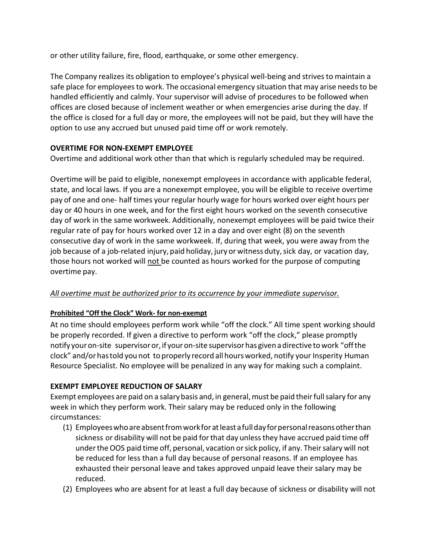or other utility failure, fire, flood, earthquake, or some other emergency.

The Company realizes its obligation to employee's physical well-being and strivesto maintain a safe place for employees to work. The occasional emergency situation that may arise needs to be handled efficiently and calmly. Your supervisor will advise of procedures to be followed when offices are closed because of inclement weather or when emergencies arise during the day. If the office is closed for a full day or more, the employees will not be paid, but they will have the option to use any accrued but unused paid time off or work remotely.

# <span id="page-27-0"></span>**OVERTIME FOR NON-EXEMPT EMPLOYEE**

Overtime and additional work other than that which is regularly scheduled may be required.

Overtime will be paid to eligible, nonexempt employees in accordance with applicable federal, state, and local laws. If you are a nonexempt employee, you will be eligible to receive overtime pay of one and one- half times your regular hourly wage for hours worked over eight hours per day or 40 hours in one week, and for the first eight hours worked on the seventh consecutive day of work in the same workweek. Additionally, nonexempt employees will be paid twice their regular rate of pay for hours worked over 12 in a day and over eight (8) on the seventh consecutive day of work in the same workweek. If, during that week, you were away from the job because of a job-related injury, paid holiday, jury or witness duty, sick day, or vacation day, those hours not worked will not be counted as hours worked for the purpose of computing overtime pay.

# *All overtime must be authorized prior to its occurrence by your immediate supervisor.*

# **Prohibited "Off the Clock" Work- for non-exempt**

At no time should employees perform work while "off the clock." All time spent working should be properly recorded. If given a directive to perform work "off the clock," please promptly notify your on-site supervisor or, if your on-site supervisor has given a directive to work "off the clock" and/orhastold you not to properly record all hoursworked, notify your Insperity Human Resource Specialist. No employee will be penalized in any way for making such a complaint.

# <span id="page-27-1"></span>**EXEMPT EMPLOYEE REDUCTION OF SALARY**

Exempt employees are paid on a salary basis and, in general, must be paid their full salary for any week in which they perform work. Their salary may be reduced only in the following circumstances:

- (1) Employeeswhoareabsentfromworkfor atleast a fulldayforpersonalreasonsotherthan sickness or disability will not be paid for that day unless they have accrued paid time off under the OOS paid time off, personal, vacation or sick policy, if any. Their salary will not be reduced for less than a full day because of personal reasons. If an employee has exhausted their personal leave and takes approved unpaid leave their salary may be reduced.
- (2) Employees who are absent for at least a full day because of sickness or disability will not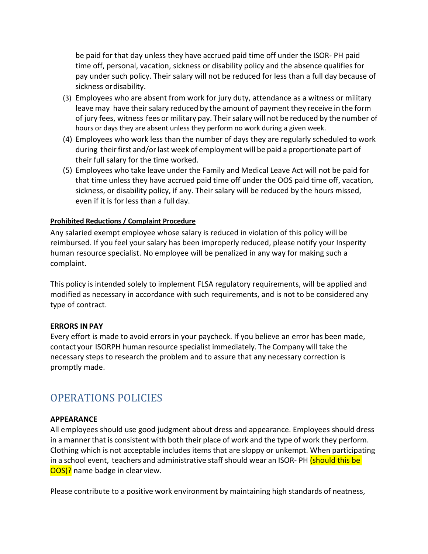be paid for that day unless they have accrued paid time off under the ISOR- PH paid time off, personal, vacation, sickness or disability policy and the absence qualifies for pay under such policy. Their salary will not be reduced for less than a full day because of sickness ordisability.

- (3) Employees who are absent from work for jury duty, attendance as a witness or military leave may have their salary reduced by the amount of payment they receive in the form of jury fees, witness fees or military pay. Theirsalary will not be reduced by the number of hours or days they are absent unless they perform no work during a given week.
- (4) Employees who work less than the number of days they are regularly scheduled to work during their first and/or last week of employment will be paid a proportionate part of their full salary for the time worked.
- (5) Employees who take leave under the Family and Medical Leave Act will not be paid for that time unless they have accrued paid time off under the OOS paid time off, vacation, sickness, or disability policy, if any. Their salary will be reduced by the hours missed, even if it is for less than a fullday.

#### **Prohibited Reductions / Complaint Procedure**

Any salaried exempt employee whose salary is reduced in violation of this policy will be reimbursed. If you feel your salary has been improperly reduced, please notify your Insperity human resource specialist. No employee will be penalized in any way for making such a complaint.

This policy is intended solely to implement FLSA regulatory requirements, will be applied and modified as necessary in accordance with such requirements, and is not to be considered any type of contract.

#### <span id="page-28-0"></span>**ERRORS INPAY**

Every effort is made to avoid errors in your paycheck. If you believe an error has been made, contact your ISORPH human resource specialist immediately. The Company willtake the necessary steps to research the problem and to assure that any necessary correction is promptly made.

# <span id="page-28-1"></span>OPERATIONS POLICIES

#### <span id="page-28-2"></span>**APPEARANCE**

All employees should use good judgment about dress and appearance. Employees should dress in a mannerthat is consistent with both their place of work and the type of work they perform. Clothing which is not acceptable includes items that are sloppy or unkempt. When participating in a school event, teachers and administrative staff should wear an ISOR- PH (should this be OOS)? name badge in clear view.

Please contribute to a positive work environment by maintaining high standards of neatness,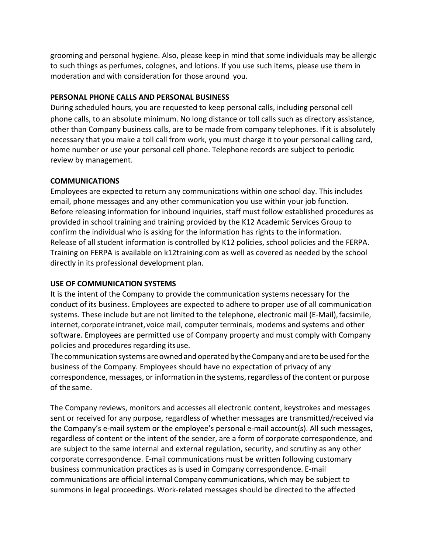grooming and personal hygiene. Also, please keep in mind that some individuals may be allergic to such things as perfumes, colognes, and lotions. If you use such items, please use them in moderation and with consideration for those around you.

#### <span id="page-29-0"></span>**PERSONAL PHONE CALLS AND PERSONAL BUSINESS**

During scheduled hours, you are requested to keep personal calls, including personal cell phone calls, to an absolute minimum. No long distance or toll calls such as directory assistance, other than Company business calls, are to be made from company telephones. If it is absolutely necessary that you make a toll call from work, you must charge it to your personal calling card, home number or use your personal cell phone. Telephone records are subject to periodic review by management.

#### <span id="page-29-1"></span>**COMMUNICATIONS**

Employees are expected to return any communications within one school day. This includes email, phone messages and any other communication you use within your job function. Before releasing information for inbound inquiries, staff must follow established procedures as provided in school training and training provided by the K12 Academic Services Group to confirm the individual who is asking for the information has rights to the information. Release of all student information is controlled by K12 policies, school policies and the FERPA. Training on FERPA is available on k12training.com as well as covered as needed by the school directly in its professional development plan.

# <span id="page-29-2"></span>**USE OF COMMUNICATION SYSTEMS**

It is the intent of the Company to provide the communication systems necessary for the conduct of its business. Employees are expected to adhere to proper use of all communication systems. These include but are not limited to the telephone, electronic mail (E-Mail),facsimile, internet, corporate intranet, voice mail, computer terminals, modems and systems and other software. Employees are permitted use of Company property and must comply with Company policies and procedures regarding itsuse.

The communication systems are owned and operated by the Company and are to be used for the business of the Company. Employees should have no expectation of privacy of any correspondence, messages, or information in the systems, regardless of the content or purpose of the same.

The Company reviews, monitors and accesses all electronic content, keystrokes and messages sent or received for any purpose, regardless of whether messages are transmitted/received via the Company's e-mail system or the employee's personal e-mail account(s). All such messages, regardless of content or the intent of the sender, are a form of corporate correspondence, and are subject to the same internal and external regulation, security, and scrutiny as any other corporate correspondence. E-mail communications must be written following customary business communication practices as is used in Company correspondence. E-mail communications are official internal Company communications, which may be subject to summons in legal proceedings. Work-related messages should be directed to the affected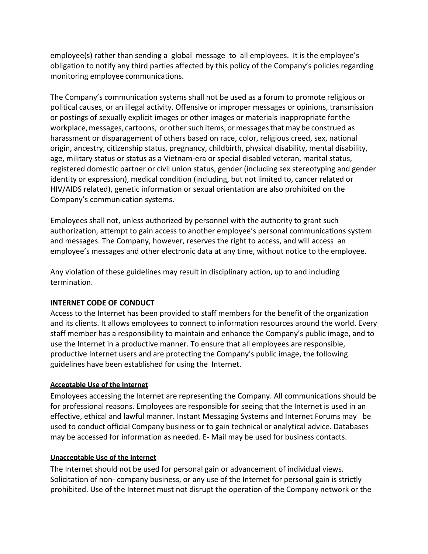employee(s) rather than sending a global message to all employees. It is the employee's obligation to notify any third parties affected by this policy of the Company's policies regarding monitoring employee communications.

The Company's communication systems shall not be used as a forum to promote religious or political causes, or an illegal activity. Offensive or improper messages or opinions, transmission or postings of sexually explicit images or other images or materials inappropriate forthe workplace, messages, cartoons, or other such items, or messages that may be construed as harassment or disparagement of others based on race, color, religious creed, sex, national origin, ancestry, citizenship status, pregnancy, childbirth, physical disability, mental disability, age, military status or status as a Vietnam-era or special disabled veteran, marital status, registered domestic partner or civil union status, gender (including sex stereotyping and gender identity or expression), medical condition (including, but not limited to, cancer related or HIV/AIDS related), genetic information or sexual orientation are also prohibited on the Company's communication systems.

Employees shall not, unless authorized by personnel with the authority to grant such authorization, attempt to gain access to another employee's personal communications system and messages. The Company, however, reserves the right to access, and will access an employee's messages and other electronic data at any time, without notice to the employee.

Any violation of these guidelines may result in disciplinary action, up to and including termination.

#### <span id="page-30-0"></span>**INTERNET CODE OF CONDUCT**

Access to the Internet has been provided to staff members for the benefit of the organization and its clients. It allows employees to connect to information resources around the world. Every staff member has a responsibility to maintain and enhance the Company's public image, and to use the Internet in a productive manner. To ensure that all employees are responsible, productive Internet users and are protecting the Company's public image, the following guidelines have been established for using the Internet.

#### **Acceptable Use of the Internet**

Employees accessing the Internet are representing the Company. All communications should be for professional reasons. Employees are responsible for seeing that the Internet is used in an effective, ethical and lawful manner. Instant Messaging Systems and Internet Forums may be used to conduct official Company business or to gain technical or analytical advice. Databases may be accessed for information as needed. E- Mail may be used for business contacts.

#### **Unacceptable Use of the Internet**

The Internet should not be used for personal gain or advancement of individual views. Solicitation of non- company business, or any use of the Internet for personal gain is strictly prohibited. Use of the Internet must not disrupt the operation of the Company network or the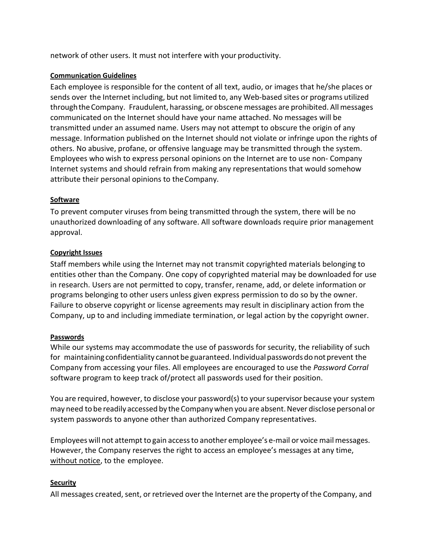network of other users. It must not interfere with your productivity.

#### **Communication Guidelines**

Each employee is responsible for the content of all text, audio, or images that he/she places or sends over the Internet including, but not limited to, any Web-based sites or programs utilized throughtheCompany. Fraudulent, harassing, or obscene messages are prohibited. Allmessages communicated on the Internet should have your name attached. No messages will be transmitted under an assumed name. Users may not attempt to obscure the origin of any message. Information published on the Internet should not violate or infringe upon the rights of others. No abusive, profane, or offensive language may be transmitted through the system. Employees who wish to express personal opinions on the Internet are to use non- Company Internet systems and should refrain from making any representations that would somehow attribute their personal opinions to theCompany.

#### **Software**

To prevent computer viruses from being transmitted through the system, there will be no unauthorized downloading of any software. All software downloads require prior management approval.

#### **Copyright Issues**

Staff members while using the Internet may not transmit copyrighted materials belonging to entities other than the Company. One copy of copyrighted material may be downloaded for use in research. Users are not permitted to copy, transfer, rename, add, or delete information or programs belonging to other users unless given express permission to do so by the owner. Failure to observe copyright or license agreements may result in disciplinary action from the Company, up to and including immediate termination, or legal action by the copyright owner.

#### **Passwords**

While our systems may accommodate the use of passwords for security, the reliability of such for maintaining confidentiality cannot be guaranteed. Individual passwords do not prevent the Company from accessing your files. All employees are encouraged to use the *Password Corral*  software program to keep track of/protect all passwords used for their position.

You are required, however, to disclose your password(s) to your supervisor because your system may need to be readily accessed by the Companywhen you are absent.Never disclose personal or system passwords to anyone other than authorized Company representatives.

Employees will not attempt to gain access to another employee's e-mail or voice mail messages. However, the Company reserves the right to access an employee's messages at any time, without notice, to the employee.

# **Security**

All messages created, sent, or retrieved over the Internet are the property of the Company, and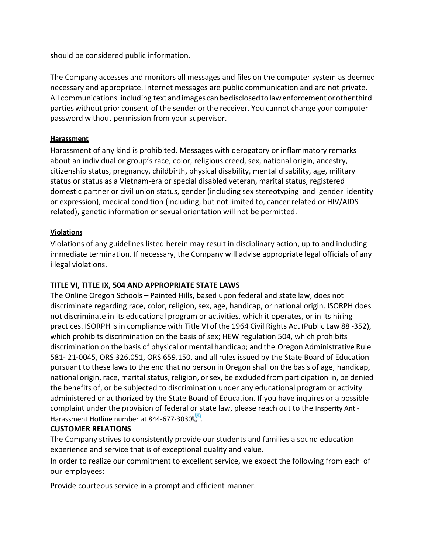should be considered public information.

The Company accesses and monitors all messages and files on the computer system as deemed necessary and appropriate. Internet messages are public communication and are not private. All communications including text andimages canbedisclosedtolawenforcementorotherthird parties without prior consent of the sender or the receiver. You cannot change your computer password without permission from your supervisor.

#### **Harassment**

Harassment of any kind is prohibited. Messages with derogatory or inflammatory remarks about an individual or group's race, color, religious creed, sex, national origin, ancestry, citizenship status, pregnancy, childbirth, physical disability, mental disability, age, military status or status as a Vietnam-era or special disabled veteran, marital status, registered domestic partner or civil union status, gender (including sex stereotyping and gender identity or expression), medical condition (including, but not limited to, cancer related or HIV/AIDS related), genetic information or sexual orientation will not be permitted.

#### **Violations**

Violations of any guidelines listed herein may result in disciplinary action, up to and including immediate termination. If necessary, the Company will advise appropriate legal officials of any illegal violations.

# <span id="page-32-0"></span>**TITLE VI, TITLE IX, 504 AND APPROPRIATE STATE LAWS**

The Online Oregon Schools – Painted Hills, based upon federal and state law, does not discriminate regarding race, color, religion, sex, age, handicap, or national origin. ISORPH does not discriminate in its educational program or activities, which it operates, or in its hiring practices. ISORPH isin compliance with Title VI of the 1964 Civil Rights Act (Public Law 88 -352), which prohibits discrimination on the basis of sex; HEW regulation 504, which prohibits discrimination on the basis of physical or mental handicap; and the Oregon Administrative Rule 581- 21-0045, ORS 326.051, ORS 659.150, and all rules issued by the State Board of Education pursuant to these laws to the end that no person in Oregon shall on the basis of age, handicap, national origin, race, marital status, religion, or sex, be excluded from participation in, be denied the benefits of, or be subjected to discrimination under any educational program or activity administered or authorized by the State Board of Education. If you have inquires or a possible complaint under the provision of federal or state law, please reach out to the Insperity Anti-Harassment Hotline number at 844-677-3030

# <span id="page-32-1"></span>**CUSTOMER RELATIONS**

The Company strives to consistently provide our students and families a sound education experience and service that is of exceptional quality and value.

In order to realize our commitment to excellent service, we expect the following from each of our employees:

Provide courteous service in a prompt and efficient manner.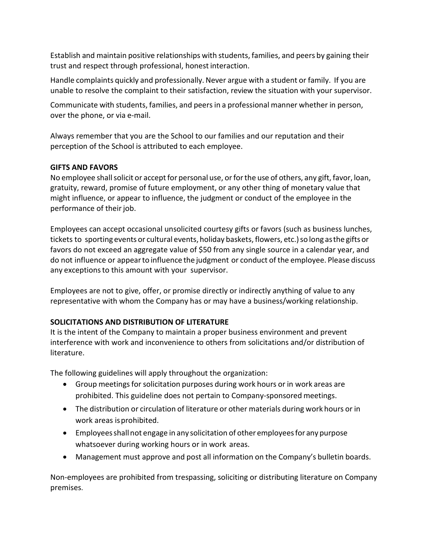Establish and maintain positive relationships with students, families, and peers by gaining their trust and respect through professional, honestinteraction.

Handle complaints quickly and professionally. Never argue with a student or family. If you are unable to resolve the complaint to their satisfaction, review the situation with your supervisor.

Communicate with students, families, and peersin a professional manner whether in person, over the phone, or via e-mail.

Always remember that you are the School to our families and our reputation and their perception of the School is attributed to each employee.

# <span id="page-33-0"></span>**GIFTS AND FAVORS**

No employee shall solicit or accept for personal use, or for the use of others, any gift, favor, loan, gratuity, reward, promise of future employment, or any other thing of monetary value that might influence, or appear to influence, the judgment or conduct of the employee in the performance of their job.

Employees can accept occasional unsolicited courtesy gifts or favors (such as business lunches, tickets to sporting events or cultural events, holiday baskets, flowers, etc.)so long asthe giftsor favors do not exceed an aggregate value of \$50 from any single source in a calendar year, and do not influence or appearto influence the judgment or conduct of the employee. Please discuss any exceptions to this amount with your supervisor.

Employees are not to give, offer, or promise directly or indirectly anything of value to any representative with whom the Company has or may have a business/working relationship.

# <span id="page-33-1"></span>**SOLICITATIONS AND DISTRIBUTION OF LITERATURE**

It is the intent of the Company to maintain a proper business environment and prevent interference with work and inconvenience to others from solicitations and/or distribution of literature.

The following guidelines will apply throughout the organization:

- Group meetings for solicitation purposes during work hours or in work areas are prohibited. This guideline does not pertain to Company-sponsored meetings.
- The distribution or circulation of literature or other materials during work hours or in work areas isprohibited.
- Employeesshallnot engage in any solicitation of other employeesfor any purpose whatsoever during working hours or in work areas.
- Management must approve and post all information on the Company's bulletin boards.

Non-employees are prohibited from trespassing, soliciting or distributing literature on Company premises.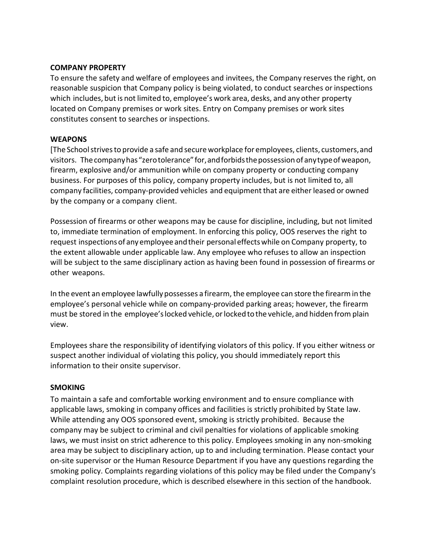#### <span id="page-34-0"></span>**COMPANY PROPERTY**

To ensure the safety and welfare of employees and invitees, the Company reserves the right, on reasonable suspicion that Company policy is being violated, to conduct searches or inspections which includes, but is not limited to, employee's work area, desks, and any other property located on Company premises or work sites. Entry on Company premises or work sites constitutes consent to searches or inspections.

#### <span id="page-34-1"></span>**WEAPONS**

[The Schoolstrivesto provide a safe and secureworkplace for employees, clients, customers,and visitors. Thecompanyhas "zerotolerance"for,andforbidsthepossession of anytypeofweapon, firearm, explosive and/or ammunition while on company property or conducting company business. For purposes of this policy, company property includes, but is not limited to, all company facilities, company-provided vehicles and equipment that are either leased or owned by the company or a company client.

Possession of firearms or other weapons may be cause for discipline, including, but not limited to, immediate termination of employment. In enforcing this policy, OOS reserves the right to request inspections of any employee and their personal effects while on Company property, to the extent allowable under applicable law. Any employee who refuses to allow an inspection will be subject to the same disciplinary action as having been found in possession of firearms or other weapons.

In the event an employee lawfully possesses a firearm, the employee can store the firearmin the employee's personal vehicle while on company-provided parking areas; however, the firearm must be stored in the employee'slocked vehicle, orlockedtothe vehicle, and hidden from plain view.

Employees share the responsibility of identifying violators of this policy. If you either witness or suspect another individual of violating this policy, you should immediately report this information to their onsite supervisor.

#### <span id="page-34-2"></span>**SMOKING**

To maintain a safe and comfortable working environment and to ensure compliance with applicable laws, smoking in company offices and facilities is strictly prohibited by State law. While attending any OOS sponsored event, smoking is strictly prohibited. Because the company may be subject to criminal and civil penalties for violations of applicable smoking laws, we must insist on strict adherence to this policy. Employees smoking in any non-smoking area may be subject to disciplinary action, up to and including termination. Please contact your on-site supervisor or the Human Resource Department if you have any questions regarding the smoking policy. Complaints regarding violations of this policy may be filed under the Company's complaint resolution procedure, which is described elsewhere in this section of the handbook.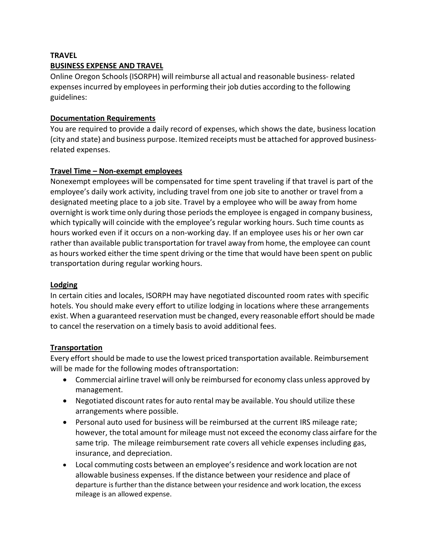#### <span id="page-35-0"></span>**TRAVEL**

#### **BUSINESS EXPENSE AND TRAVEL**

Online Oregon Schools(ISORPH) will reimburse all actual and reasonable business- related expensesincurred by employeesin performing their job duties according to the following guidelines:

#### **Documentation Requirements**

You are required to provide a daily record of expenses, which shows the date, business location (city and state) and business purpose. Itemized receipts must be attached for approved businessrelated expenses.

# **Travel Time – Non-exempt employees**

Nonexempt employees will be compensated for time spent traveling if that travel is part of the employee's daily work activity, including travel from one job site to another or travel from a designated meeting place to a job site. Travel by a employee who will be away from home overnight is work time only during those periodsthe employee is engaged in company business, which typically will coincide with the employee's regular working hours. Such time counts as hours worked even if it occurs on a non-working day. If an employee uses his or her own car rather than available public transportation for travel away from home, the employee can count as hours worked either the time spent driving or the time that would have been spent on public transportation during regular working hours.

#### **Lodging**

In certain cities and locales, ISORPH may have negotiated discounted room rates with specific hotels. You should make every effort to utilize lodging in locations where these arrangements exist. When a guaranteed reservation must be changed, every reasonable effort should be made to cancel the reservation on a timely basis to avoid additional fees.

# **Transportation**

Every effort should be made to use the lowest priced transportation available. Reimbursement will be made for the following modes oftransportation:

- Commercial airline travel will only be reimbursed for economy class unless approved by management.
- Negotiated discount rates for auto rental may be available. You should utilize these arrangements where possible.
- Personal auto used for business will be reimbursed at the current IRS mileage rate; however, the total amount for mileage must not exceed the economy class airfare for the same trip. The mileage reimbursement rate covers all vehicle expenses including gas, insurance, and depreciation.
- Local commuting costs between an employee's residence and work location are not allowable business expenses. If the distance between your residence and place of departure is further than the distance between your residence and work location, the excess mileage is an allowed expense.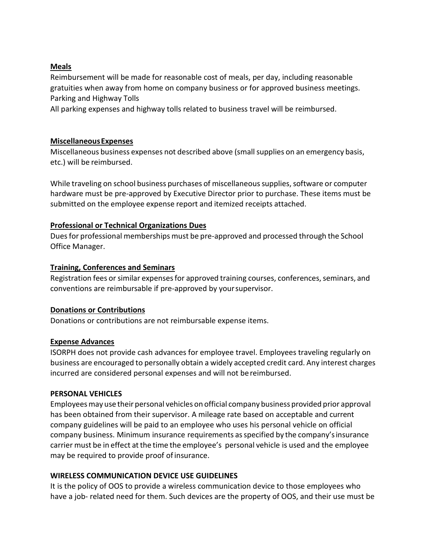#### **Meals**

Reimbursement will be made for reasonable cost of meals, per day, including reasonable gratuities when away from home on company business or for approved business meetings. Parking and Highway Tolls

All parking expenses and highway tolls related to business travel will be reimbursed.

### **MiscellaneousExpenses**

Miscellaneous business expenses not described above (small supplies on an emergency basis, etc.) will be reimbursed.

While traveling on school business purchases of miscellaneous supplies, software or computer hardware must be pre-approved by Executive Director prior to purchase. These items must be submitted on the employee expense report and itemized receipts attached.

#### **Professional or Technical Organizations Dues**

Duesfor professional memberships must be pre-approved and processed through the School Office Manager.

#### **Training, Conferences and Seminars**

Registration fees or similar expenses for approved training courses, conferences, seminars, and conventions are reimbursable if pre-approved by yoursupervisor.

# **Donations or Contributions**

Donations or contributions are not reimbursable expense items.

# **Expense Advances**

ISORPH does not provide cash advances for employee travel. Employees traveling regularly on business are encouraged to personally obtain a widely accepted credit card. Any interest charges incurred are considered personal expenses and will not bereimbursed.

#### <span id="page-36-0"></span>**PERSONAL VEHICLES**

Employeesmay use their personal vehicles on official company business provided prior approval has been obtained from their supervisor. A mileage rate based on acceptable and current company guidelines will be paid to an employee who uses his personal vehicle on official company business. Minimum insurance requirements asspecified by the company'sinsurance carrier must be in effect at the time the employee's personal vehicle is used and the employee may be required to provide proof of insurance.

# <span id="page-36-1"></span>**WIRELESS COMMUNICATION DEVICE USE GUIDELINES**

It is the policy of OOS to provide a wireless communication device to those employees who have a job- related need for them. Such devices are the property of OOS, and their use must be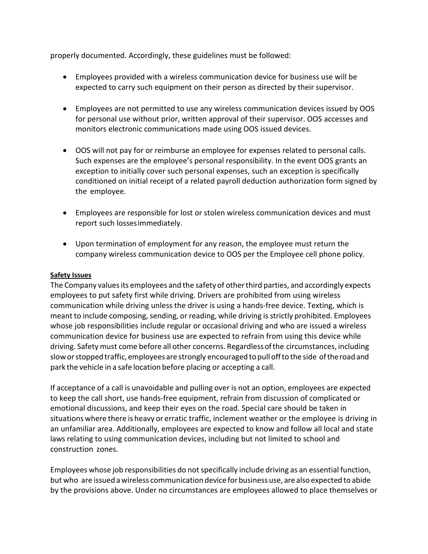properly documented. Accordingly, these guidelines must be followed:

- Employees provided with a wireless communication device for business use will be expected to carry such equipment on their person as directed by their supervisor.
- Employees are not permitted to use any wireless communication devices issued by OOS for personal use without prior, written approval of their supervisor. OOS accesses and monitors electronic communications made using OOS issued devices.
- OOS will not pay for or reimburse an employee for expenses related to personal calls. Such expenses are the employee's personal responsibility. In the event OOS grants an exception to initially cover such personal expenses, such an exception is specifically conditioned on initial receipt of a related payroll deduction authorization form signed by the employee.
- Employees are responsible for lost or stolen wireless communication devices and must report such lossesimmediately.
- Upon termination of employment for any reason, the employee must return the company wireless communication device to OOS per the Employee cell phone policy.

#### **Safety Issues**

The Company valuesits employees and the safety of otherthird parties, and accordingly expects employees to put safety first while driving. Drivers are prohibited from using wireless communication while driving unless the driver is using a hands-free device. Texting, which is meant to include composing, sending, or reading, while driving is strictly prohibited. Employees whose job responsibilities include regular or occasional driving and who are issued a wireless communication device for business use are expected to refrain from using this device while driving. Safety must come before all other concerns. Regardlessofthe circumstances, including sloworstoppedtraffic, employees are strongly encouraged topulloffto the side oftheroadand park the vehicle in a safe location before placing or accepting a call.

If acceptance of a call is unavoidable and pulling over is not an option, employees are expected to keep the call short, use hands-free equipment, refrain from discussion of complicated or emotional discussions, and keep their eyes on the road. Special care should be taken in situations where there is heavy or erratic traffic, inclement weather or the employee is driving in an unfamiliar area. Additionally, employees are expected to know and follow all local and state laws relating to using communication devices, including but not limited to school and construction zones.

Employees whose job responsibilities do not specifically include driving as an essential function, but who are issued a wireless communication device forbusinessuse, are also expected to abide by the provisions above. Under no circumstances are employees allowed to place themselves or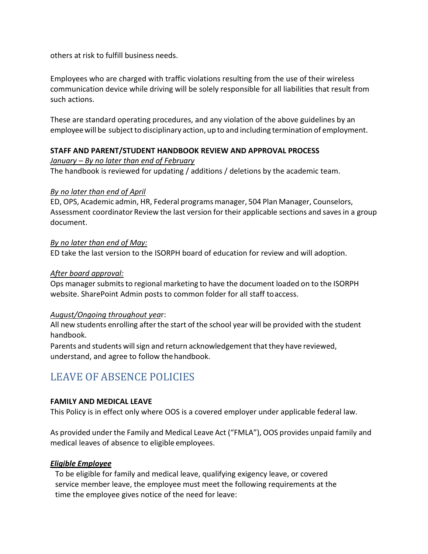others at risk to fulfill business needs.

Employees who are charged with traffic violations resulting from the use of their wireless communication device while driving will be solely responsible for all liabilities that result from such actions.

These are standard operating procedures, and any violation of the above guidelines by an employee will be subject to disciplinary action, up to and including termination of employment.

# <span id="page-38-0"></span>**STAFF AND PARENT/STUDENT HANDBOOK REVIEW AND APPROVAL PROCESS**

#### *January – By no later than end of February*

The handbook is reviewed for updating / additions / deletions by the academic team.

#### *By no later than end of April*

ED, OPS, Academic admin, HR, Federal programsmanager, 504 Plan Manager, Counselors, Assessment coordinator Review the last version for their applicable sections and savesin a group document.

#### *By no later than end of May:*

ED take the last version to the ISORPH board of education for review and will adoption.

#### *After board approval:*

Ops manager submitsto regional marketing to have the document loaded on to the ISORPH website. SharePoint Admin posts to common folder for all staff toaccess.

#### *August/Ongoing throughout yea*r:

All new students enrolling after the start of the school year will be provided with the student handbook.

Parents and students will sign and return acknowledgement that they have reviewed, understand, and agree to follow thehandbook.

# <span id="page-38-1"></span>LEAVE OF ABSENCE POLICIES

#### <span id="page-38-2"></span>**FAMILY AND MEDICAL LEAVE**

This Policy is in effect only where OOS is a covered employer under applicable federal law.

As provided under the Family and Medical Leave Act ("FMLA"), OOS provides unpaid family and medical leaves of absence to eligible employees.

#### <span id="page-38-3"></span>*Eligible Employee*

To be eligible for family and medical leave, qualifying exigency leave, or covered service member leave, the employee must meet the following requirements at the time the employee gives notice of the need for leave: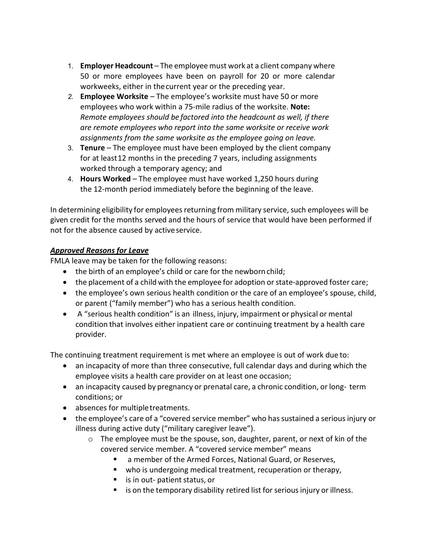- 1. **Employer Headcount**  The employee must work at a client company where 50 or more employees have been on payroll for 20 or more calendar workweeks, either in thecurrent year or the preceding year.
- 2. **Employee Worksite** The employee's worksite must have 50 or more employees who work within a 75-mile radius of the worksite. **Note:**  *Remote employees should be factored into the headcount as well, if there are remote employees who report into the same worksite or receive work assignments from the same worksite as the employee going on leave.*
- 3. **Tenure**  The employee must have been employed by the client company for at least12 months in the preceding 7 years, including assignments worked through a temporary agency; and
- 4. **Hours Worked**  The employee must have worked 1,250 hours during the 12-month period immediately before the beginning of the leave.

In determining eligibility for employees returning from military service, such employees will be given credit for the months served and the hours of service that would have been performed if not for the absence caused by active service.

# <span id="page-39-0"></span>*Approved Reasons for Leave*

FMLA leave may be taken for the following reasons:

- the birth of an employee's child or care for the newborn child;
- the placement of a child with the employee for adoption or state-approved foster care;
- the employee's own serious health condition or the care of an employee's spouse, child, or parent ("family member") who has a serious health condition.
- A "serious health condition" is an illness, injury, impairment or physical or mental condition that involves either inpatient care or continuing treatment by a health care provider.

The continuing treatment requirement is met where an employee is out of work due to:

- an incapacity of more than three consecutive, full calendar days and during which the employee visits a health care provider on at least one occasion;
- an incapacity caused by pregnancy or prenatal care, a chronic condition, or long-term conditions; or
- absences for multipletreatments.
- the employee's care of a "covered service member" who has sustained a serious injury or illness during active duty ("military caregiver leave").
	- $\circ$  The employee must be the spouse, son, daughter, parent, or next of kin of the covered service member. A "covered service member" means
		- a member of the Armed Forces, National Guard, or Reserves,
		- who is undergoing medical treatment, recuperation or therapy,
		- $\blacksquare$  is in out- patient status, or
		- is on the temporary disability retired list for serious injury or illness.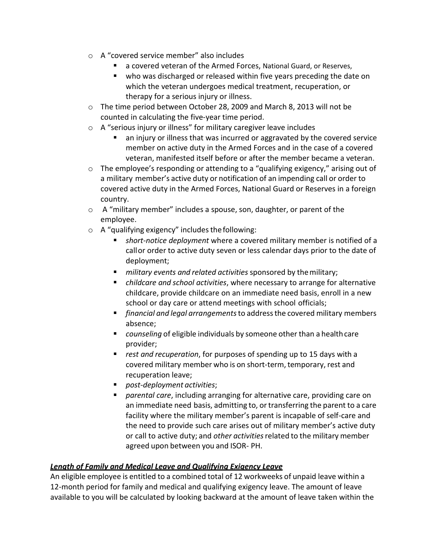- o A "covered service member" also includes
	- a covered veteran of the Armed Forces, National Guard, or Reserves,
	- who was discharged or released within five years preceding the date on which the veteran undergoes medical treatment, recuperation, or therapy for a serious injury or illness.
- $\circ$  The time period between October 28, 2009 and March 8, 2013 will not be counted in calculating the five-year time period.
- o A "serious injury or illness" for military caregiver leave includes
	- an injury or illness that was incurred or aggravated by the covered service member on active duty in the Armed Forces and in the case of a covered veteran, manifested itself before or after the member became a veteran.
- $\circ$  The employee's responding or attending to a "qualifying exigency," arising out of a military member's active duty or notification of an impending call or order to covered active duty in the Armed Forces, National Guard or Reserves in a foreign country.
- o A "military member" includes a spouse, son, daughter, or parent of the employee.
- $\circ$  A "qualifying exigency" includes the following:
	- *short-notice deployment* where a covered military member is notified of a callor order to active duty seven or less calendar days prior to the date of deployment;
	- *military events and related activities* sponsored by themilitary;
	- *childcare and school activities*, where necessary to arrange for alternative childcare, provide childcare on an immediate need basis, enroll in a new school or day care or attend meetings with school officials;
	- *financial and legal arrangements*to addressthe covered military members absence;
	- *counseling* of eligible individuals by someone other than a healthcare provider;
	- *rest and recuperation*, for purposes of spending up to 15 days with a covered military member who is on short-term, temporary, rest and recuperation leave;
	- *post-deployment activities*;
	- *parental care*, including arranging for alternative care, providing care on an immediate need basis, admitting to, or transferring the parent to a care facility where the military member's parent is incapable of self-care and the need to provide such care arises out of military member's active duty or call to active duty; and *other activities*related to the military member agreed upon between you and ISOR- PH.

# <span id="page-40-0"></span>*Length of Family and Medical Leave and Qualifying Exigency Leave*

An eligible employee is entitled to a combined total of 12 workweeks of unpaid leave within a 12-month period for family and medical and qualifying exigency leave. The amount of leave available to you will be calculated by looking backward at the amount of leave taken within the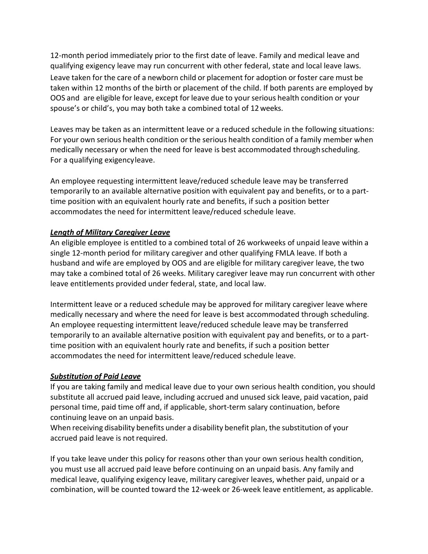12-month period immediately prior to the first date of leave. Family and medical leave and qualifying exigency leave may run concurrent with other federal, state and local leave laws. Leave taken for the care of a newborn child or placement for adoption or foster care must be taken within 12 months of the birth or placement of the child. If both parents are employed by OOS and are eligible for leave, except for leave due to your serious health condition or your spouse's or child's, you may both take a combined total of 12weeks.

Leaves may be taken as an intermittent leave or a reduced schedule in the following situations: For your own serious health condition or the serious health condition of a family member when medically necessary or when the need for leave is best accommodated throughscheduling. For a qualifying exigencyleave.

An employee requesting intermittent leave/reduced schedule leave may be transferred temporarily to an available alternative position with equivalent pay and benefits, or to a parttime position with an equivalent hourly rate and benefits, if such a position better accommodates the need for intermittent leave/reduced schedule leave.

# <span id="page-41-0"></span>*Length of Military Caregiver Leave*

An eligible employee is entitled to a combined total of 26 workweeks of unpaid leave within a single 12-month period for military caregiver and other qualifying FMLA leave. If both a husband and wife are employed by OOS and are eligible for military caregiver leave, the two may take a combined total of 26 weeks. Military caregiver leave may run concurrent with other leave entitlements provided under federal, state, and local law.

Intermittent leave or a reduced schedule may be approved for military caregiver leave where medically necessary and where the need for leave is best accommodated through scheduling. An employee requesting intermittent leave/reduced schedule leave may be transferred temporarily to an available alternative position with equivalent pay and benefits, or to a parttime position with an equivalent hourly rate and benefits, if such a position better accommodates the need for intermittent leave/reduced schedule leave.

# <span id="page-41-1"></span>*Substitution of Paid Leave*

If you are taking family and medical leave due to your own serious health condition, you should substitute all accrued paid leave, including accrued and unused sick leave, paid vacation, paid personal time, paid time off and, if applicable, short-term salary continuation, before continuing leave on an unpaid basis.

When receiving disability benefits under a disability benefit plan, the substitution of your accrued paid leave is not required.

If you take leave under this policy for reasons other than your own serious health condition, you must use all accrued paid leave before continuing on an unpaid basis. Any family and medical leave, qualifying exigency leave, military caregiver leaves, whether paid, unpaid or a combination, will be counted toward the 12-week or 26-week leave entitlement, as applicable.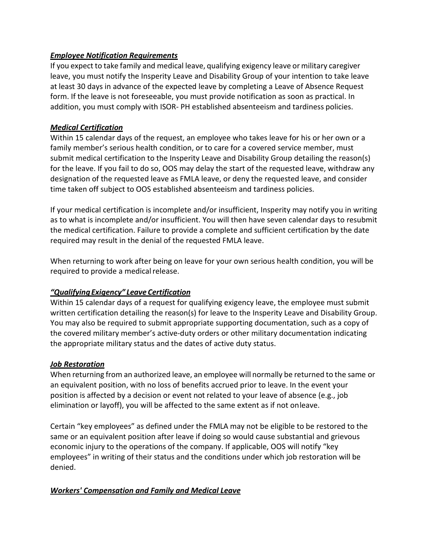# <span id="page-42-0"></span>*Employee Notification Requirements*

If you expect to take family and medical leave, qualifying exigency leave or military caregiver leave, you must notify the Insperity Leave and Disability Group of your intention to take leave at least 30 days in advance of the expected leave by completing a Leave of Absence Request form. If the leave is not foreseeable, you must provide notification as soon as practical. In addition, you must comply with ISOR- PH established absenteeism and tardiness policies.

### <span id="page-42-1"></span>*Medical Certification*

Within 15 calendar days of the request, an employee who takes leave for his or her own or a family member's serious health condition, or to care for a covered service member, must submit medical certification to the Insperity Leave and Disability Group detailing the reason(s) for the leave. If you fail to do so, OOS may delay the start of the requested leave, withdraw any designation of the requested leave as FMLA leave, or deny the requested leave, and consider time taken off subject to OOS established absenteeism and tardiness policies.

If your medical certification is incomplete and/or insufficient, Insperity may notify you in writing as to what is incomplete and/or insufficient. You will then have seven calendar days to resubmit the medical certification. Failure to provide a complete and sufficient certification by the date required may result in the denial of the requested FMLA leave.

When returning to work after being on leave for your own serious health condition, you will be required to provide a medical release.

# <span id="page-42-2"></span>*"QualifyingExigency" Leave Certification*

Within 15 calendar days of a request for qualifying exigency leave, the employee must submit written certification detailing the reason(s) for leave to the Insperity Leave and Disability Group. You may also be required to submit appropriate supporting documentation, such as a copy of the covered military member's active-duty orders or other military documentation indicating the appropriate military status and the dates of active duty status.

#### <span id="page-42-3"></span>*Job Restoration*

When returning from an authorized leave, an employee will normally be returned to the same or an equivalent position, with no loss of benefits accrued prior to leave. In the event your position is affected by a decision or event not related to your leave of absence (e.g., job elimination or layoff), you will be affected to the same extent as if not onleave.

Certain "key employees" as defined under the FMLA may not be eligible to be restored to the same or an equivalent position after leave if doing so would cause substantial and grievous economic injury to the operations of the company. If applicable, OOS will notify "key employees" in writing of their status and the conditions under which job restoration will be denied.

# <span id="page-42-4"></span>*Workers' Compensation and Family and Medical Leave*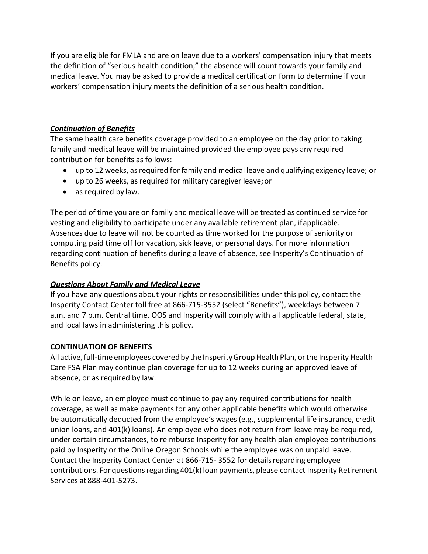If you are eligible for FMLA and are on leave due to a workers' compensation injury that meets the definition of "serious health condition," the absence will count towards your family and medical leave. You may be asked to provide a medical certification form to determine if your workers' compensation injury meets the definition of a serious health condition.

# <span id="page-43-0"></span>*Continuation of Benefits*

The same health care benefits coverage provided to an employee on the day prior to taking family and medical leave will be maintained provided the employee pays any required contribution for benefits as follows:

- up to 12 weeks, asrequired for family and medical leave and qualifying exigency leave; or
- up to 26 weeks, as required for military caregiver leave;or
- as required by law.

The period of time you are on family and medical leave will be treated as continued service for vesting and eligibility to participate under any available retirement plan, ifapplicable. Absences due to leave will not be counted as time worked for the purpose of seniority or computing paid time off for vacation, sick leave, or personal days. For more information regarding continuation of benefits during a leave of absence, see Insperity's Continuation of Benefits policy.

# <span id="page-43-1"></span>*Questions About Family and Medical Leave*

If you have any questions about your rights or responsibilities under this policy, contact the Insperity Contact Center toll free at 866-715-3552 (select "Benefits"), weekdays between 7 a.m. and 7 p.m. Central time. OOS and Insperity will comply with all applicable federal, state, and local laws in administering this policy.

# <span id="page-43-2"></span>**CONTINUATION OF BENEFITS**

All active, full-time employees covered by the Insperity Group Health Plan, or the Insperity Health Care FSA Plan may continue plan coverage for up to 12 weeks during an approved leave of absence, or as required by law.

While on leave, an employee must continue to pay any required contributions for health coverage, as well as make payments for any other applicable benefits which would otherwise be automatically deducted from the employee's wages (e.g., supplemental life insurance, credit union loans, and 401(k) loans). An employee who does not return from leave may be required, under certain circumstances, to reimburse Insperity for any health plan employee contributions paid by Insperity or the Online Oregon Schools while the employee was on unpaid leave. Contact the Insperity Contact Center at 866-715- 3552 for detailsregarding employee contributions. For questions regarding 401(k) loan payments, please contact Insperity Retirement Services at 888-401-5273.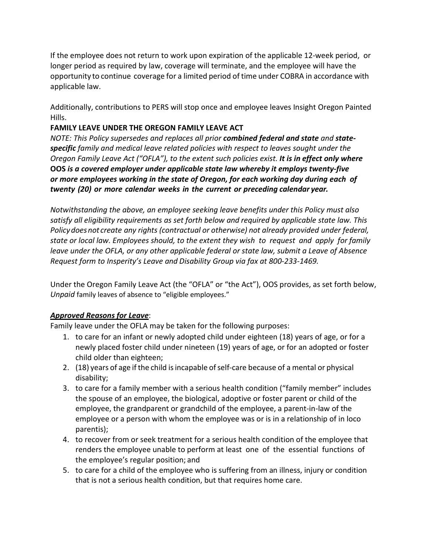If the employee does not return to work upon expiration of the applicable 12-week period, or longer period as required by law, coverage will terminate, and the employee will have the opportunity to continue coverage for a limited period of time under COBRA in accordance with applicable law.

Additionally, contributions to PERS will stop once and employee leaves Insight Oregon Painted Hills.

# <span id="page-44-0"></span>**FAMILY LEAVE UNDER THE OREGON FAMILY LEAVE ACT**

*NOTE: This Policy supersedes and replaces all prior combined federal and state and statespecific family and medical leave related policies with respect to leaves sought under the Oregon Family Leave Act ("OFLA"), to the extent such policies exist. It is in effect only where*  **OOS** *is a covered employer under applicable state law whereby it employs twenty-five or more employees working in the state of Oregon, for each working day during each of twenty (20) or more calendar weeks in the current or preceding calendar year.*

*Notwithstanding the above, an employee seeking leave benefits under this Policy must also satisfy all eligibility requirements as set forth below and required by applicable state law. This Policydoesnot create any rights (contractual or otherwise) not already provided under federal, state or local law. Employees should, to the extent they wish to request and apply for family leave under the OFLA, or any other applicable federal or state law, submit a Leave of Absence Request form to Insperity's Leave and Disability Group via fax at 800-233-1469.*

Under the Oregon Family Leave Act (the "OFLA" or "the Act"), OOS provides, as set forth below, *Unpaid* family leaves of absence to "eligible employees."

# <span id="page-44-1"></span>*Approved Reasons for Leave*:

Family leave under the OFLA may be taken for the following purposes:

- 1. to care for an infant or newly adopted child under eighteen (18) years of age, or for a newly placed foster child under nineteen (19) years of age, or for an adopted or foster child older than eighteen;
- 2. (18) years of age if the child is incapable of self-care because of a mental or physical disability;
- 3. to care for a family member with a serious health condition ("family member" includes the spouse of an employee, the biological, adoptive or foster parent or child of the employee, the grandparent or grandchild of the employee, a parent-in-law of the employee or a person with whom the employee was or is in a relationship of in loco parentis);
- 4. to recover from or seek treatment for a serious health condition of the employee that renders the employee unable to perform at least one of the essential functions of the employee's regular position; and
- 5. to care for a child of the employee who is suffering from an illness, injury or condition that is not a serious health condition, but that requires home care.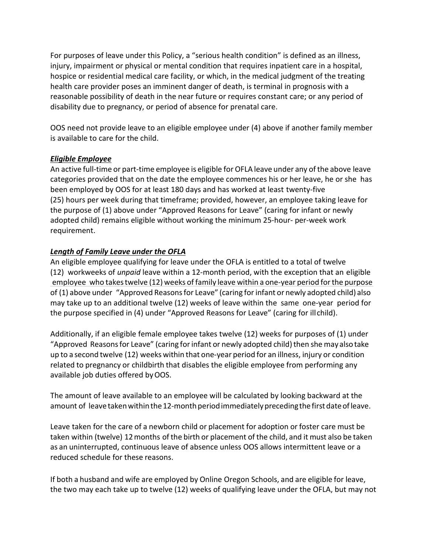For purposes of leave under this Policy, a "serious health condition" is defined as an illness, injury, impairment or physical or mental condition that requires inpatient care in a hospital, hospice or residential medical care facility, or which, in the medical judgment of the treating health care provider poses an imminent danger of death, is terminal in prognosis with a reasonable possibility of death in the near future or requires constant care; or any period of disability due to pregnancy, or period of absence for prenatal care.

OOS need not provide leave to an eligible employee under (4) above if another family member is available to care for the child.

# *Eligible Employee*

An active full-time or part-time employee is eligible for OFLA leave under any ofthe above leave categories provided that on the date the employee commences his or her leave, he or she has been employed by OOS for at least 180 days and has worked at least twenty-five (25) hours per week during that timeframe; provided, however, an employee taking leave for the purpose of (1) above under "Approved Reasons for Leave" (caring for infant or newly adopted child) remains eligible without working the minimum 25-hour- per-week work requirement.

# *Length of Family Leave under the OFLA*

An eligible employee qualifying for leave under the OFLA is entitled to a total of twelve (12) workweeks of *unpaid* leave within a 12-month period, with the exception that an eligible employee who takestwelve (12) weeks of family leave within a one-year period forthe purpose of (1) above under "Approved Reasonsfor Leave" (caring forinfant or newly adopted child) also may take up to an additional twelve (12) weeks of leave within the same one-year period for the purpose specified in (4) under "Approved Reasons for Leave" (caring for illchild).

Additionally, if an eligible female employee takes twelve (12) weeks for purposes of (1) under "Approved Reasons for Leave" (caring for infant or newly adopted child) then she may also take up to a second twelve (12) weeks within that one-year period for an illness, injury or condition related to pregnancy or childbirth that disables the eligible employee from performing any available job duties offered byOOS.

The amount of leave available to an employee will be calculated by looking backward at the amount of leave taken within the 12-month period immediately preceding the first date of leave.

Leave taken for the care of a newborn child or placement for adoption or foster care must be taken within (twelve) 12months of the birth or placement of the child, and it must also be taken as an uninterrupted, continuous leave of absence unless OOS allows intermittent leave or a reduced schedule for these reasons.

If both a husband and wife are employed by Online Oregon Schools, and are eligible for leave, the two may each take up to twelve (12) weeks of qualifying leave under the OFLA, but may not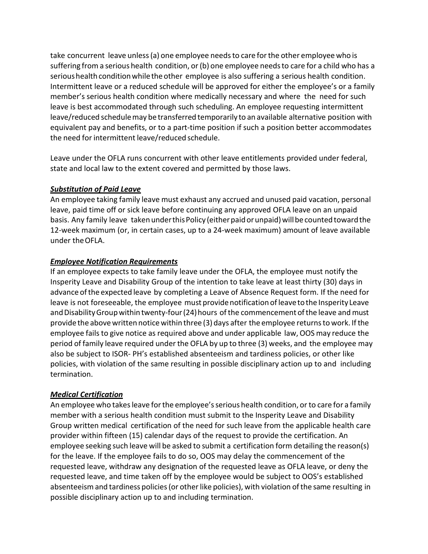take concurrent leave unless(a) one employee needsto care forthe other employee who is suffering from a serious health condition, or (b) one employee needs to care for a child who has a serioushealth conditionwhilethe other employee is also suffering a serious health condition. Intermittent leave or a reduced schedule will be approved for either the employee's or a family member's serious health condition where medically necessary and where the need for such leave is best accommodated through such scheduling. An employee requesting intermittent leave/reduced schedulemay be transferred temporarily to an available alternative position with equivalent pay and benefits, or to a part-time position if such a position better accommodates the need for intermittent leave/reduced schedule.

Leave under the OFLA runs concurrent with other leave entitlements provided under federal, state and local law to the extent covered and permitted by those laws.

#### <span id="page-46-0"></span>*Substitution of Paid Leave*

An employee taking family leave must exhaust any accrued and unused paid vacation, personal leave, paid time off or sick leave before continuing any approved OFLA leave on an unpaid basis. Any family leave taken under this Policy (either paid or unpaid) will be counted toward the 12-week maximum (or, in certain cases, up to a 24-week maximum) amount of leave available under theOFLA.

# <span id="page-46-1"></span>*Employee Notification Requirements*

If an employee expects to take family leave under the OFLA, the employee must notify the Insperity Leave and Disability Group of the intention to take leave at least thirty (30) days in advance ofthe expected leave by completing a Leave of Absence Request form. If the need for leave is not foreseeable, the employee must provide notification of leave to the Insperity Leave and Disability Group within twenty-four (24) hours of the commencement of the leave and must provide the above written notice within three (3) days after the employee returns to work. If the employee fails to give notice as required above and under applicable law, OOS may reduce the period of family leave required under the OFLA by up to three (3) weeks, and the employee may also be subject to ISOR- PH's established absenteeism and tardiness policies, or other like policies, with violation of the same resulting in possible disciplinary action up to and including termination.

# <span id="page-46-2"></span>*Medical Certification*

An employee who takesleave forthe employee'sserious health condition, or to care for a family member with a serious health condition must submit to the Insperity Leave and Disability Group written medical certification of the need for such leave from the applicable health care provider within fifteen (15) calendar days of the request to provide the certification. An employee seeking such leave will be asked to submit a certification form detailing the reason(s) for the leave. If the employee fails to do so, OOS may delay the commencement of the requested leave, withdraw any designation of the requested leave as OFLA leave, or deny the requested leave, and time taken off by the employee would be subject to OOS's established absenteeism and tardiness policies (or other like policies), with violation of the same resulting in possible disciplinary action up to and including termination.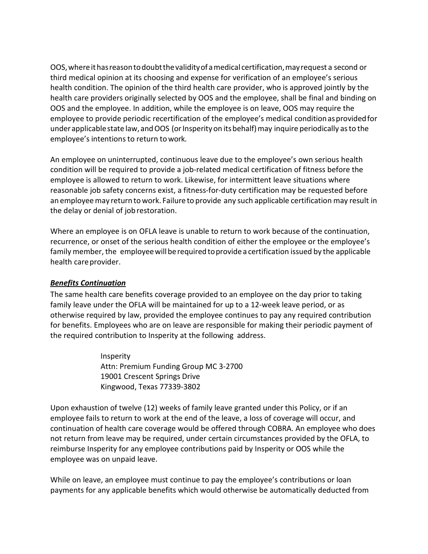OOS,whereithasreasontodoubtthevalidityof a medical certification,mayrequest a second or third medical opinion at its choosing and expense for verification of an employee's serious health condition. The opinion of the third health care provider, who is approved jointly by the health care providers originally selected by OOS and the employee, shall be final and binding on OOS and the employee. In addition, while the employee is on leave, OOS may require the employee to provide periodic recertification of the employee's medical condition as provided for underapplicablestate law, andOOS (orInsperityon itsbehalf)may inquire periodically asto the employee's intentions to return towork.

An employee on uninterrupted, continuous leave due to the employee's own serious health condition will be required to provide a job-related medical certification of fitness before the employee is allowed to return to work. Likewise, for intermittent leave situations where reasonable job safety concerns exist, a fitness-for-duty certification may be requested before an employee may return to work. Failure to provide any such applicable certification may result in the delay or denial of jobrestoration.

Where an employee is on OFLA leave is unable to return to work because of the continuation, recurrence, or onset of the serious health condition of either the employee or the employee's family member, the employee will be required to provide a certification issued by the applicable health care provider.

# <span id="page-47-0"></span>*Benefits Continuation*

The same health care benefits coverage provided to an employee on the day prior to taking family leave under the OFLA will be maintained for up to a 12-week leave period, or as otherwise required by law, provided the employee continues to pay any required contribution for benefits. Employees who are on leave are responsible for making their periodic payment of the required contribution to Insperity at the following address.

> Insperity Attn: Premium Funding Group MC 3-2700 19001 Crescent Springs Drive Kingwood, Texas 77339-3802

Upon exhaustion of twelve (12) weeks of family leave granted under this Policy, or if an employee fails to return to work at the end of the leave, a loss of coverage will occur, and continuation of health care coverage would be offered through COBRA. An employee who does not return from leave may be required, under certain circumstances provided by the OFLA, to reimburse Insperity for any employee contributions paid by Insperity or OOS while the employee was on unpaid leave.

While on leave, an employee must continue to pay the employee's contributions or loan payments for any applicable benefits which would otherwise be automatically deducted from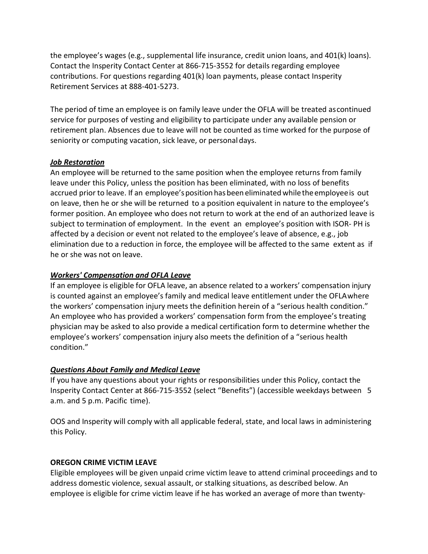the employee's wages (e.g., supplemental life insurance, credit union loans, and 401(k) loans). Contact the Insperity Contact Center at 866-715-3552 for details regarding employee contributions. For questions regarding 401(k) loan payments, please contact Insperity Retirement Services at 888-401-5273.

The period of time an employee is on family leave under the OFLA will be treated ascontinued service for purposes of vesting and eligibility to participate under any available pension or retirement plan. Absences due to leave will not be counted as time worked for the purpose of seniority or computing vacation, sick leave, or personal days.

#### <span id="page-48-0"></span>*Job Restoration*

An employee will be returned to the same position when the employee returns from family leave under this Policy, unless the position has been eliminated, with no loss of benefits accrued prior to leave. If an employee'spositionhasbeen eliminated whiletheemployeeis out on leave, then he or she will be returned to a position equivalent in nature to the employee's former position. An employee who does not return to work at the end of an authorized leave is subject to termination of employment. In the event an employee's position with ISOR- PH is affected by a decision or event not related to the employee's leave of absence, e.g., job elimination due to a reduction in force, the employee will be affected to the same extent as if he or she was not on leave.

# <span id="page-48-1"></span>*Workers' Compensation and OFLA Leave*

If an employee is eligible for OFLA leave, an absence related to a workers' compensation injury is counted against an employee's family and medical leave entitlement under the OFLAwhere the workers' compensation injury meets the definition herein of a "serious health condition." An employee who has provided a workers' compensation form from the employee's treating physician may be asked to also provide a medical certification form to determine whether the employee's workers' compensation injury also meets the definition of a "serious health condition."

# *Questions About Family and Medical Leave*

If you have any questions about your rights or responsibilities under this Policy, contact the Insperity Contact Center at 866-715-3552 (select "Benefits") (accessible weekdays between 5 a.m. and 5 p.m. Pacific time).

OOS and Insperity will comply with all applicable federal, state, and local laws in administering this Policy.

# <span id="page-48-2"></span>**OREGON CRIME VICTIM LEAVE**

Eligible employees will be given unpaid crime victim leave to attend criminal proceedings and to address domestic violence, sexual assault, or stalking situations, as described below. An employee is eligible for crime victim leave if he has worked an average of more than twenty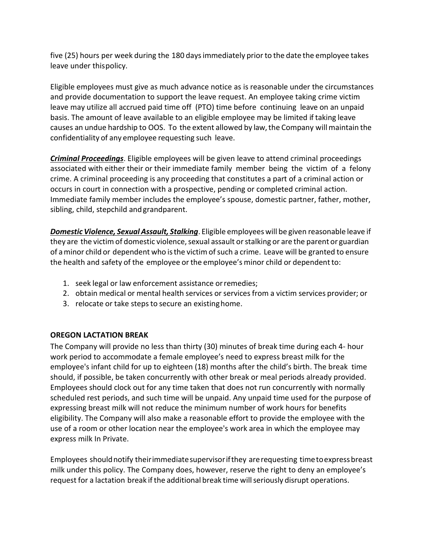five (25) hours per week during the 180 daysimmediately priorto the date the employee takes leave under thispolicy.

Eligible employees must give as much advance notice as is reasonable under the circumstances and provide documentation to support the leave request. An employee taking crime victim leave may utilize all accrued paid time off (PTO) time before continuing leave on an unpaid basis. The amount of leave available to an eligible employee may be limited if taking leave causes an undue hardship to OOS. To the extent allowed by law,the Company willmaintain the confidentiality of any employee requesting such leave.

*Criminal Proceedings*. Eligible employees will be given leave to attend criminal proceedings associated with either their or their immediate family member being the victim of a felony crime. A criminal proceeding is any proceeding that constitutes a part of a criminal action or occurs in court in connection with a prospective, pending or completed criminal action. Immediate family member includes the employee's spouse, domestic partner, father, mother, sibling, child, stepchild andgrandparent.

*Domestic Violence, Sexual Assault, Stalking*. Eligible employees will be given reasonable leave if they are the victim of domestic violence, sexual assault or stalking or are the parent or guardian of a minor child or dependent who isthe victim ofsuch a crime. Leave will be granted to ensure the health and safety of the employee or the employee's minor child or dependentto:

- 1. seek legal or law enforcement assistance orremedies;
- 2. obtain medical or mental health services or services from a victim services provider; or
- 3. relocate or take steps to secure an existing home.

# <span id="page-49-0"></span>**OREGON LACTATION BREAK**

The Company will provide no less than thirty (30) minutes of break time during each 4- hour work period to accommodate a female employee's need to express breast milk for the employee's infant child for up to eighteen (18) months after the child's birth. The break time should, if possible, be taken concurrently with other break or meal periods already provided. Employees should clock out for any time taken that does not run concurrently with normally scheduled rest periods, and such time will be unpaid. Any unpaid time used for the purpose of expressing breast milk will not reduce the minimum number of work hours for benefits eligibility. The Company will also make a reasonable effort to provide the employee with the use of a room or other location near the employee's work area in which the employee may express milk In Private.

Employees shouldnotify theirimmediatesupervisorifthey arerequesting timetoexpressbreast milk under this policy. The Company does, however, reserve the right to deny an employee's request for a lactation break if the additional break time will seriously disrupt operations.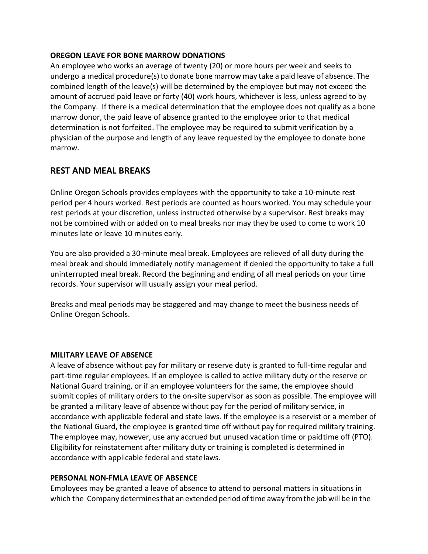#### <span id="page-50-0"></span>**OREGON LEAVE FOR BONE MARROW DONATIONS**

An employee who works an average of twenty (20) or more hours per week and seeks to undergo a medical procedure(s) to donate bone marrow may take a paid leave of absence. The combined length of the leave(s) will be determined by the employee but may not exceed the amount of accrued paid leave or forty (40) work hours, whichever is less, unless agreed to by the Company. If there is a medical determination that the employee does not qualify as a bone marrow donor, the paid leave of absence granted to the employee prior to that medical determination is not forfeited. The employee may be required to submit verification by a physician of the purpose and length of any leave requested by the employee to donate bone marrow.

# <span id="page-50-1"></span>**REST AND MEAL BREAKS**

Online Oregon Schools provides employees with the opportunity to take a 10-minute rest period per 4 hours worked. Rest periods are counted as hours worked. You may schedule your rest periods at your discretion, unless instructed otherwise by a supervisor. Rest breaks may not be combined with or added on to meal breaks nor may they be used to come to work 10 minutes late or leave 10 minutes early.

You are also provided a 30-minute meal break. Employees are relieved of all duty during the meal break and should immediately notify management if denied the opportunity to take a full uninterrupted meal break. Record the beginning and ending of all meal periods on your time records. Your supervisor will usually assign your meal period.

Breaks and meal periods may be staggered and may change to meet the business needs of Online Oregon Schools.

# <span id="page-50-2"></span>**MILITARY LEAVE OF ABSENCE**

A leave of absence without pay for military or reserve duty is granted to full-time regular and part-time regular employees. If an employee is called to active military duty or the reserve or National Guard training, or if an employee volunteers for the same, the employee should submit copies of military orders to the on-site supervisor as soon as possible. The employee will be granted a military leave of absence without pay for the period of military service, in accordance with applicable federal and state laws. If the employee is a reservist or a member of the National Guard, the employee is granted time off without pay for required military training. The employee may, however, use any accrued but unused vacation time or paidtime off (PTO). Eligibility for reinstatement after military duty or training is completed is determined in accordance with applicable federal and statelaws.

#### <span id="page-50-3"></span>**PERSONAL NON-FMLA LEAVE OF ABSENCE**

Employees may be granted a leave of absence to attend to personal matters in situations in which the Company determinesthat an extended period oftime away fromthe job will be in the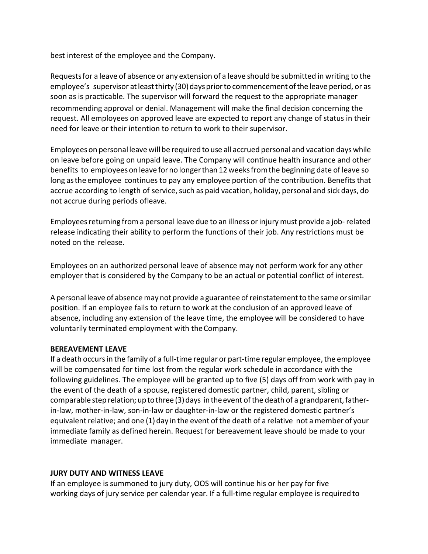best interest of the employee and the Company.

Requestsfor a leave of absence or any extension of a leave should be submitted in writing to the employee's supervisor at least thirty (30) days prior to commencement of the leave period, or as soon as is practicable. The supervisor will forward the request to the appropriate manager recommending approval or denial. Management will make the final decision concerning the request. All employees on approved leave are expected to report any change of status in their need for leave or their intention to return to work to their supervisor.

Employeeson personal leave will be required to use all accrued personal and vacation days while on leave before going on unpaid leave. The Company will continue health insurance and other benefits to employeeson leave forno longerthan 12weeksfromthe beginning date of leave so long asthe employee continues to pay any employee portion of the contribution. Benefits that accrue according to length of service, such as paid vacation, holiday, personal and sick days, do not accrue during periods ofleave.

Employees returning from a personal leave due to an illness or injury must provide a job-related release indicating their ability to perform the functions of their job. Any restrictions must be noted on the release.

Employees on an authorized personal leave of absence may not perform work for any other employer that is considered by the Company to be an actual or potential conflict of interest.

A personal leave of absence may not provide a guarantee ofreinstatementto the same orsimilar position. If an employee fails to return to work at the conclusion of an approved leave of absence, including any extension of the leave time, the employee will be considered to have voluntarily terminated employment with theCompany.

#### <span id="page-51-0"></span>**BEREAVEMENT LEAVE**

If a death occurs in the family of a full-time regular or part-time regular employee, the employee will be compensated for time lost from the regular work schedule in accordance with the following guidelines. The employee will be granted up to five (5) days off from work with pay in the event of the death of a spouse, registered domestic partner, child, parent, sibling or comparable step relation; up to three (3) days in the event of the death of a grandparent, fatherin-law, mother-in-law, son-in-law or daughter-in-law or the registered domestic partner's equivalent relative; and one (1) day in the event of the death of a relative not a member of your immediate family as defined herein. Request for bereavement leave should be made to your immediate manager.

#### <span id="page-51-1"></span>**JURY DUTY AND WITNESS LEAVE**

If an employee is summoned to jury duty, OOS will continue his or her pay for five working days of jury service per calendar year. If a full-time regular employee is required to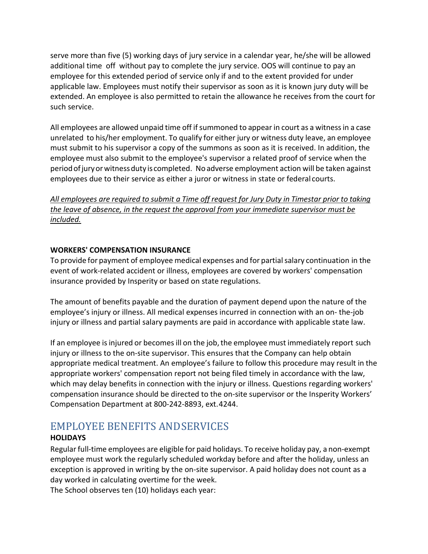serve more than five (5) working days of jury service in a calendar year, he/she will be allowed additional time off without pay to complete the jury service. OOS will continue to pay an employee for this extended period of service only if and to the extent provided for under applicable law. Employees must notify their supervisor as soon as it is known jury duty will be extended. An employee is also permitted to retain the allowance he receives from the court for such service.

All employees are allowed unpaid time off if summoned to appear in court as a witness in a case unrelated to his/her employment. To qualify for either jury or witness duty leave, an employee must submit to his supervisor a copy of the summons as soon as it is received. In addition, the employee must also submit to the employee's supervisor a related proof of service when the periodofjuryorwitnessduty is completed. No adverse employment action will be taken against employees due to their service as either a juror or witness in state or federal courts.

*All employees are required to submit a Time off request for Jury Duty in Timestar prior to taking the leave of absence, in the request the approval from your immediate supervisor must be included.*

#### <span id="page-52-0"></span>**WORKERS' COMPENSATION INSURANCE**

To provide for payment of employee medical expenses and for partial salary continuation in the event of work-related accident or illness, employees are covered by workers' compensation insurance provided by Insperity or based on state regulations.

The amount of benefits payable and the duration of payment depend upon the nature of the employee's injury or illness. All medical expenses incurred in connection with an on- the-job injury or illness and partial salary payments are paid in accordance with applicable state law.

If an employee is injured or becomes ill on the job, the employee must immediately report such injury or illness to the on-site supervisor. This ensures that the Company can help obtain appropriate medical treatment. An employee's failure to follow this procedure may result in the appropriate workers' compensation report not being filed timely in accordance with the law, which may delay benefits in connection with the injury or illness. Questions regarding workers' compensation insurance should be directed to the on-site supervisor or the Insperity Workers' Compensation Department at 800-242-8893, ext.4244.

# <span id="page-52-1"></span>EMPLOYEE BENEFITS ANDSERVICES

# <span id="page-52-2"></span>**HOLIDAYS**

Regular full-time employees are eligible for paid holidays. To receive holiday pay, a non-exempt employee must work the regularly scheduled workday before and after the holiday, unless an exception is approved in writing by the on-site supervisor. A paid holiday does not count as a day worked in calculating overtime for the week.

The School observes ten (10) holidays each year: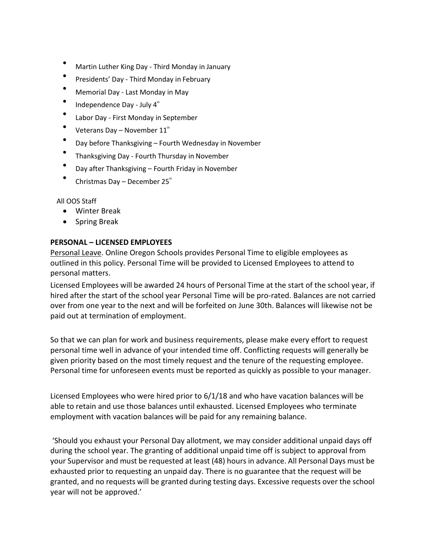- Martin Luther King Day Third Monday in January
- Presidents' Day Third Monday in February
- Memorial Day Last Monday in May
- Independence Day July  $4^{\text{th}}$
- Labor Day First Monday in September
- Veterans Day November  $11<sup>th</sup>$
- Day before Thanksgiving Fourth Wednesday in November
- Thanksgiving Day Fourth Thursday in November
- Day after Thanksgiving Fourth Friday in November
- Christmas Day December  $25<sup>th</sup>$

All OOS Staff

- Winter Break
- Spring Break

# <span id="page-53-0"></span>**PERSONAL – LICENSED EMPLOYEES**

Personal Leave. Online Oregon Schools provides Personal Time to eligible employees as outlined in this policy. Personal Time will be provided to Licensed Employees to attend to personal matters.

Licensed Employees will be awarded 24 hours of Personal Time at the start of the school year, if hired after the start of the school year Personal Time will be pro-rated. Balances are not carried over from one year to the next and will be forfeited on June 30th. Balances will likewise not be paid out at termination of employment.

So that we can plan for work and business requirements, please make every effort to request personal time well in advance of your intended time off. Conflicting requests will generally be given priority based on the most timely request and the tenure of the requesting employee. Personal time for unforeseen events must be reported as quickly as possible to your manager.

Licensed Employees who were hired prior to 6/1/18 and who have vacation balances will be able to retain and use those balances until exhausted. Licensed Employees who terminate employment with vacation balances will be paid for any remaining balance.

'Should you exhaust your Personal Day allotment, we may consider additional unpaid days off during the school year. The granting of additional unpaid time off is subject to approval from your Supervisor and must be requested at least (48) hours in advance. All Personal Days must be exhausted prior to requesting an unpaid day. There is no guarantee that the request will be granted, and no requests will be granted during testing days. Excessive requests over the school year will not be approved.'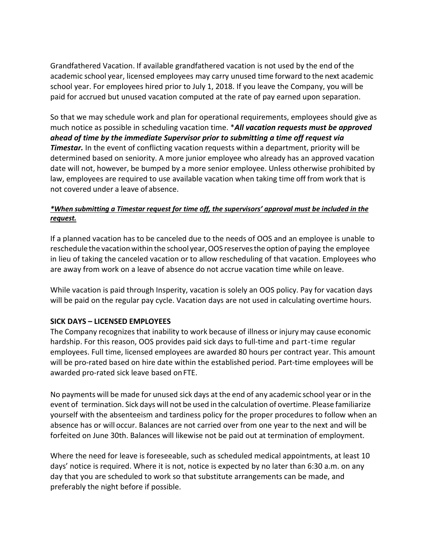Grandfathered Vacation. If available grandfathered vacation is not used by the end of the academic school year, licensed employees may carry unused time forward to the next academic school year. For employees hired prior to July 1, 2018. If you leave the Company, you will be paid for accrued but unused vacation computed at the rate of pay earned upon separation.

So that we may schedule work and plan for operational requirements, employees should give as much notice as possible in scheduling vacation time. \**All vacation requests must be approved ahead of time by the immediate Supervisor prior to submitting a time off request via*  **Timestar.** In the event of conflicting vacation requests within a department, priority will be determined based on seniority. A more junior employee who already has an approved vacation date will not, however, be bumped by a more senior employee. Unless otherwise prohibited by law, employees are required to use available vacation when taking time off from work that is not covered under a leave of absence.

### *\*When submitting a Timestar request for time off, the supervisors' approval must be included in the request.*

If a planned vacation has to be canceled due to the needs of OOS and an employee is unable to reschedule the vacation within the school year, OOS reserves the option of paying the employee in lieu of taking the canceled vacation or to allow rescheduling of that vacation. Employees who are away from work on a leave of absence do not accrue vacation time while on leave.

While vacation is paid through Insperity, vacation is solely an OOS policy. Pay for vacation days will be paid on the regular pay cycle. Vacation days are not used in calculating overtime hours.

# <span id="page-54-0"></span>**SICK DAYS – LICENSED EMPLOYEES**

The Company recognizes that inability to work because of illness or injury may cause economic hardship. For this reason, OOS provides paid sick days to full-time and part-time regular employees. Full time, licensed employees are awarded 80 hours per contract year. This amount will be pro-rated based on hire date within the established period. Part-time employees will be awarded pro-rated sick leave based onFTE.

No payments will be made for unused sick days at the end of any academic school year or in the event of termination. Sick days will not be used in the calculation of overtime. Please familiarize yourself with the absenteeism and tardiness policy for the proper procedures to follow when an absence has or will occur. Balances are not carried over from one year to the next and will be forfeited on June 30th. Balances will likewise not be paid out at termination of employment.

Where the need for leave is foreseeable, such as scheduled medical appointments, at least 10 days' notice is required. Where it is not, notice is expected by no later than 6:30 a.m. on any day that you are scheduled to work so that substitute arrangements can be made, and preferably the night before if possible.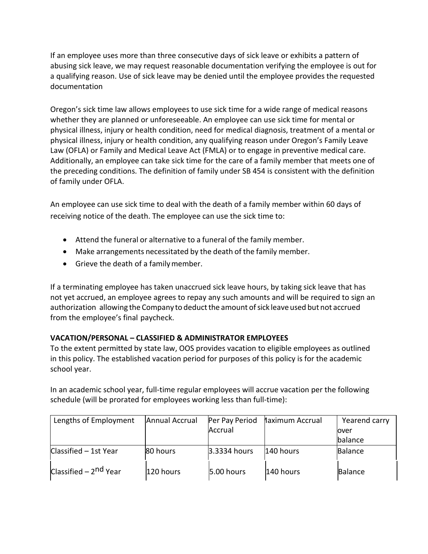If an employee uses more than three consecutive days of sick leave or exhibits a pattern of abusing sick leave, we may request reasonable documentation verifying the employee is out for a qualifying reason. Use of sick leave may be denied until the employee provides the requested documentation

Oregon's sick time law allows employees to use sick time for a wide range of medical reasons whether they are planned or unforeseeable. An employee can use sick time for mental or physical illness, injury or health condition, need for medical diagnosis, treatment of a mental or physical illness, injury or health condition, any qualifying reason under Oregon's Family Leave Law (OFLA) or Family and Medical Leave Act (FMLA) or to engage in preventive medical care. Additionally, an employee can take sick time for the care of a family member that meets one of the preceding conditions. The definition of family under SB 454 is consistent with the definition of family under OFLA.

An employee can use sick time to deal with the death of a family member within 60 days of receiving notice of the death. The employee can use the sick time to:

- Attend the funeral or alternative to a funeral of the family member.
- Make arrangements necessitated by the death of the family member.
- Grieve the death of a familymember.

If a terminating employee has taken unaccrued sick leave hours, by taking sick leave that has not yet accrued, an employee agrees to repay any such amounts and will be required to sign an authorization allowing the Company to deduct the amount of sick leave used but not accrued from the employee's final paycheck.

# <span id="page-55-0"></span>**VACATION/PERSONAL – CLASSIFIED & ADMINISTRATOR EMPLOYEES**

To the extent permitted by state law, OOS provides vacation to eligible employees as outlined in this policy. The established vacation period for purposes of this policy is for the academic school year.

In an academic school year, full-time regular employees will accrue vacation per the following schedule (will be prorated for employees working less than full-time):

| Lengths of Employment             | Annual Accrual | Per Pay Period | laximum Accrual | Yearend carry  |
|-----------------------------------|----------------|----------------|-----------------|----------------|
|                                   |                | Accrual        |                 | lover          |
|                                   |                |                |                 | balance        |
| Classified - 1st Year             | 80 hours       | 3.3334 hours   | 1140 hours      | <b>Balance</b> |
| Classified – 2 <sup>nd</sup> Year | 120 hours      | 5.00 hours     | 140 hours       | Balance        |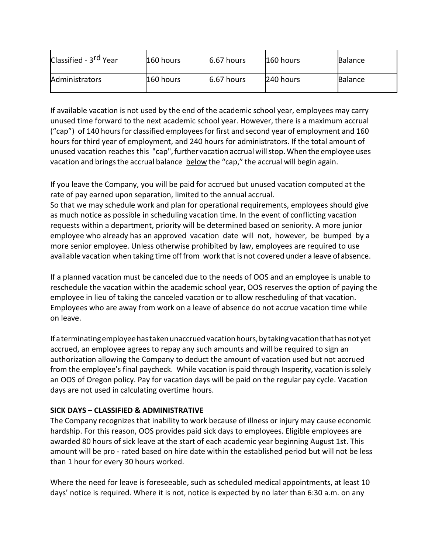| Classified - 3 <sup>rd</sup> Year | 160 hours | $6.67$ hours | 160 hours | <b>Balance</b> |
|-----------------------------------|-----------|--------------|-----------|----------------|
| Administrators                    | 160 hours | $6.67$ hours | 240 hours | <b>Balance</b> |

If available vacation is not used by the end of the academic school year, employees may carry unused time forward to the next academic school year. However, there is a maximum accrual ("cap") of 140 hours for classified employees for first and second year of employment and 160 hours for third year of employment, and 240 hours for administrators. If the total amount of unused vacation reaches this "cap",further vacation accrualwillstop.When the employee uses vacation and brings the accrual balance below the "cap," the accrual will begin again.

If you leave the Company, you will be paid for accrued but unused vacation computed at the rate of pay earned upon separation, limited to the annual accrual.

So that we may schedule work and plan for operational requirements, employees should give as much notice as possible in scheduling vacation time. In the event of conflicting vacation requests within a department, priority will be determined based on seniority. A more junior employee who already has an approved vacation date will not, however, be bumped by a more senior employee. Unless otherwise prohibited by law, employees are required to use available vacation when taking time off from work that is not covered under a leave ofabsence.

If a planned vacation must be canceled due to the needs of OOS and an employee is unable to reschedule the vacation within the academic school year, OOS reserves the option of paying the employee in lieu of taking the canceled vacation or to allow rescheduling of that vacation. Employees who are away from work on a leave of absence do not accrue vacation time while on leave.

If a terminatingemployeehastakenunaccrued vacationhours,bytakingvacationthathasnot yet accrued, an employee agrees to repay any such amounts and will be required to sign an authorization allowing the Company to deduct the amount of vacation used but not accrued from the employee's final paycheck. While vacation is paid through Insperity, vacation issolely an OOS of Oregon policy. Pay for vacation days will be paid on the regular pay cycle. Vacation days are not used in calculating overtime hours.

# <span id="page-56-0"></span>**SICK DAYS – CLASSIFIED & ADMINISTRATIVE**

The Company recognizesthat inability to work because of illness or injury may cause economic hardship. For this reason, OOS provides paid sick days to employees. Eligible employees are awarded 80 hours of sick leave at the start of each academic year beginning August 1st. This amount will be pro - rated based on hire date within the established period but will not be less than 1 hour for every 30 hours worked.

Where the need for leave is foreseeable, such as scheduled medical appointments, at least 10 days' notice is required. Where it is not, notice is expected by no later than 6:30 a.m. on any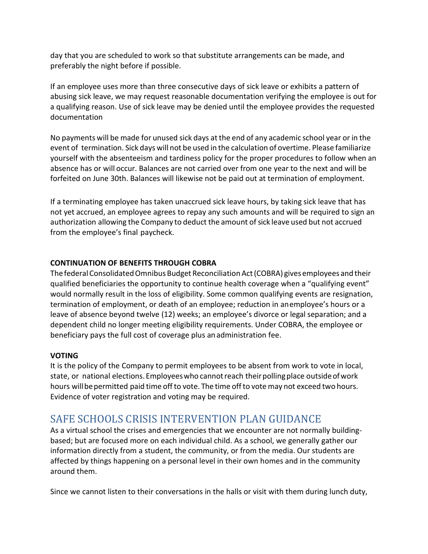day that you are scheduled to work so that substitute arrangements can be made, and preferably the night before if possible.

If an employee uses more than three consecutive days of sick leave or exhibits a pattern of abusing sick leave, we may request reasonable documentation verifying the employee is out for a qualifying reason. Use of sick leave may be denied until the employee provides the requested documentation

No payments will be made for unused sick days at the end of any academic school year or in the event of termination. Sick days will not be used in the calculation of overtime. Please familiarize yourself with the absenteeism and tardiness policy for the proper procedures to follow when an absence has or will occur. Balances are not carried over from one year to the next and will be forfeited on June 30th. Balances will likewise not be paid out at termination of employment.

If a terminating employee has taken unaccrued sick leave hours, by taking sick leave that has not yet accrued, an employee agrees to repay any such amounts and will be required to sign an authorization allowing the Company to deduct the amount ofsick leave used but not accrued from the employee's final paycheck.

# <span id="page-57-0"></span>**CONTINUATION OF BENEFITS THROUGH COBRA**

ThefederalConsolidatedOmnibus Budget ReconciliationAct(COBRA) gives employees and their qualified beneficiaries the opportunity to continue health coverage when a "qualifying event" would normally result in the loss of eligibility. Some common qualifying events are resignation, termination of employment, or death of an employee; reduction in anemployee's hours or a leave of absence beyond twelve (12) weeks; an employee's divorce or legal separation; and a dependent child no longer meeting eligibility requirements. Under COBRA, the employee or beneficiary pays the full cost of coverage plus anadministration fee.

#### <span id="page-57-1"></span>**VOTING**

It is the policy of the Company to permit employees to be absent from work to vote in local, state, or national elections. Employees who cannot reach their polling place outside of work hours willbepermitted paid time offto vote. The time offto vote may not exceed two hours. Evidence of voter registration and voting may be required.

# <span id="page-57-2"></span>SAFE SCHOOLS CRISIS INTERVENTION PLAN GUIDANCE

As a virtual school the crises and emergencies that we encounter are not normally buildingbased; but are focused more on each individual child. As a school, we generally gather our information directly from a student, the community, or from the media. Our students are affected by things happening on a personal level in their own homes and in the community around them.

Since we cannot listen to their conversations in the halls or visit with them during lunch duty,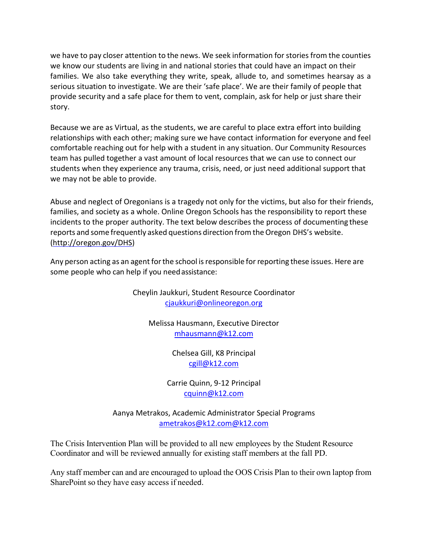we have to pay closer attention to the news. We seek information for stories from the counties we know our students are living in and national stories that could have an impact on their families. We also take everything they write, speak, allude to, and sometimes hearsay as a serious situation to investigate. We are their 'safe place'. We are their family of people that provide security and a safe place for them to vent, complain, ask for help or just share their story.

Because we are as Virtual, as the students, we are careful to place extra effort into building relationships with each other; making sure we have contact information for everyone and feel comfortable reaching out for help with a student in any situation. Our Community Resources team has pulled together a vast amount of local resources that we can use to connect our students when they experience any trauma, crisis, need, or just need additional support that we may not be able to provide.

Abuse and neglect of Oregonians is a tragedy not only for the victims, but also for their friends, families, and society as a whole. Online Oregon Schools has the responsibility to report these incidents to the proper authority. The text below describes the process of documenting these reports and some frequently asked questions direction from the Oregon DHS's website. [\(http://oregon.gov/DHS\)](http://oregon.gov/DHS)

Any person acting as an agent for the school is responsible for reporting these issues. Here are some people who can help if you needassistance:

> Cheylin Jaukkuri, Student Resource Coordinator [cjaukkuri@onlineoregon.org](mailto:cjaukkuri@onlineoregon.org)

Melissa Hausmann, Executive Director [mhausmann@k12.com](mailto:mhausmann@k12.com)

> Chelsea Gill, K8 Principal [cgill@k12.com](mailto:sjohnsongonzalez@k12.com)

Carrie Quinn, 9-12 Principal [cquinn@k12.com](mailto:cquinn@k12.com)

Aanya Metrakos, Academic Administrator Special Programs [ametrakos@k12.com@k12.com](mailto:cdoe@k12.com)

The Crisis Intervention Plan will be provided to all new employees by the Student Resource Coordinator and will be reviewed annually for existing staff members at the fall PD.

Any staff member can and are encouraged to upload the OOS Crisis Plan to their own laptop from SharePoint so they have easy access if needed.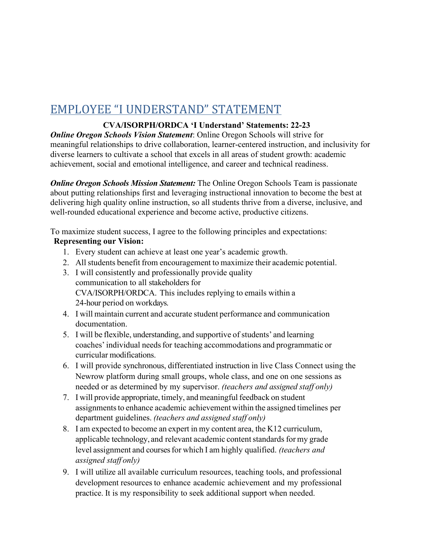# <span id="page-59-0"></span>EMPLOYEE "I UNDERSTAND" STATEMENT

# **CVA/ISORPH/ORDCA 'I Understand' Statements: 22-23**

*Online Oregon Schools Vision Statement*: Online Oregon Schools will strive for meaningful relationships to drive collaboration, learner-centered instruction, and inclusivity for diverse learners to cultivate a school that excels in all areas of student growth: academic achievement, social and emotional intelligence, and career and technical readiness.

*Online Oregon Schools Mission Statement:* The Online Oregon Schools Team is passionate about putting relationships first and leveraging instructional innovation to become the best at delivering high quality online instruction, so all students thrive from a diverse, inclusive, and well-rounded educational experience and become active, productive citizens.

To maximize student success, I agree to the following principles and expectations:

# **Representing our Vision:**

- 1. Every student can achieve at least one year's academic growth.
- 2. All students benefit from encouragement to maximize their academic potential.
- 3. I will consistently and professionally provide quality communication to all stakeholders for CVA/ISORPH/ORDCA. This includes replying to emails within a 24-hour period on workdays.
- 4. I will maintain current and accurate student performance and communication documentation.
- 5. I will be flexible, understanding, and supportive of students' and learning coaches' individual needs for teaching accommodations and programmatic or curricular modifications.
- 6. I will provide synchronous, differentiated instruction in live Class Connect using the Newrow platform during small groups, whole class, and one on one sessions as needed or as determined by my supervisor. *(teachers and assigned staff only)*
- 7. I will provide appropriate, timely, and meaningful feedback on student assignments to enhance academic achievement within the assigned timelines per department guidelines. *(teachers and assigned staff only)*
- 8. I am expected to become an expert in my content area, the K12 curriculum, applicable technology, and relevant academic content standards for my grade level assignment and courses for which I am highly qualified. *(teachers and assigned staff only)*
- 9. I will utilize all available curriculum resources, teaching tools, and professional development resources to enhance academic achievement and my professional practice. It is my responsibility to seek additional support when needed.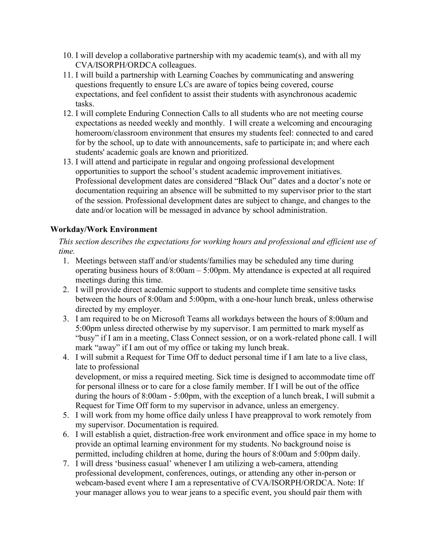- 10. I will develop a collaborative partnership with my academic team(s), and with all my CVA/ISORPH/ORDCA colleagues.
- 11. I will build a partnership with Learning Coaches by communicating and answering questions frequently to ensure LCs are aware of topics being covered, course expectations, and feel confident to assist their students with asynchronous academic tasks.
- 12. I will complete Enduring Connection Calls to all students who are not meeting course expectations as needed weekly and monthly. I will create a welcoming and encouraging homeroom/classroom environment that ensures my students feel: connected to and cared for by the school, up to date with announcements, safe to participate in; and where each students' academic goals are known and prioritized.
- 13. I will attend and participate in regular and ongoing professional development opportunities to support the school's student academic improvement initiatives. Professional development dates are considered "Black Out" dates and a doctor's note or documentation requiring an absence will be submitted to my supervisor prior to the start of the session. Professional development dates are subject to change, and changes to the date and/or location will be messaged in advance by school administration.

# **Workday/Work Environment**

*This section describes the expectations for working hours and professional and efficient use of time.*

- 1. Meetings between staff and/or students/families may be scheduled any time during operating business hours of 8:00am – 5:00pm. My attendance is expected at all required meetings during this time.
- 2. I will provide direct academic support to students and complete time sensitive tasks between the hours of 8:00am and 5:00pm, with a one-hour lunch break, unless otherwise directed by my employer.
- 3. I am required to be on Microsoft Teams all workdays between the hours of 8:00am and 5:00pm unless directed otherwise by my supervisor. I am permitted to mark myself as "busy" if I am in a meeting, Class Connect session, or on a work-related phone call. I will mark "away" if I am out of my office or taking my lunch break.
- 4. I will submit a Request for Time Off to deduct personal time if I am late to a live class, late to professional development, or miss a required meeting. Sick time is designed to accommodate time off for personal illness or to care for a close family member. If I will be out of the office during the hours of 8:00am - 5:00pm, with the exception of a lunch break, I will submit a Request for Time Off form to my supervisor in advance, unless an emergency.
- 5. I will work from my home office daily unless I have preapproval to work remotely from my supervisor. Documentation is required.
- 6. I will establish a quiet, distraction-free work environment and office space in my home to provide an optimal learning environment for my students. No background noise is permitted, including children at home, during the hours of 8:00am and 5:00pm daily.
- 7. I will dress 'business casual' whenever I am utilizing a web-camera, attending professional development, conferences, outings, or attending any other in-person or webcam-based event where I am a representative of CVA/ISORPH/ORDCA. Note: If your manager allows you to wear jeans to a specific event, you should pair them with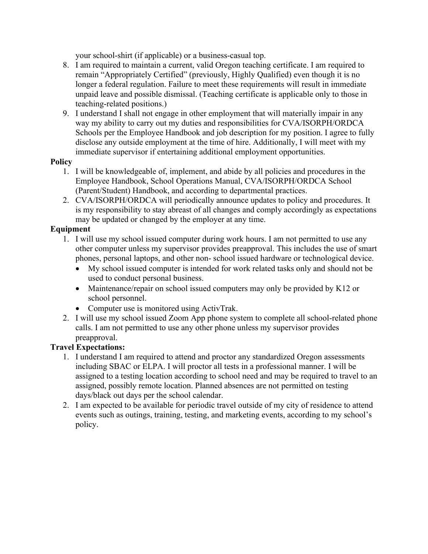your school-shirt (if applicable) or a business-casual top.

- 8. I am required to maintain a current, valid Oregon teaching certificate. I am required to remain "Appropriately Certified" (previously, Highly Qualified) even though it is no longer a federal regulation. Failure to meet these requirements will result in immediate unpaid leave and possible dismissal. (Teaching certificate is applicable only to those in teaching-related positions.)
- 9. I understand I shall not engage in other employment that will materially impair in any way my ability to carry out my duties and responsibilities for CVA/ISORPH/ORDCA Schools per the Employee Handbook and job description for my position. I agree to fully disclose any outside employment at the time of hire. Additionally, I will meet with my immediate supervisor if entertaining additional employment opportunities.

#### **Policy**

- 1. I will be knowledgeable of, implement, and abide by all policies and procedures in the Employee Handbook, School Operations Manual, CVA/ISORPH/ORDCA School (Parent/Student) Handbook, and according to departmental practices.
- 2. CVA/ISORPH/ORDCA will periodically announce updates to policy and procedures. It is my responsibility to stay abreast of all changes and comply accordingly as expectations may be updated or changed by the employer at any time.

# **Equipment**

- 1. I will use my school issued computer during work hours. I am not permitted to use any other computer unless my supervisor provides preapproval. This includes the use of smart phones, personal laptops, and other non- school issued hardware or technological device.
	- My school issued computer is intended for work related tasks only and should not be used to conduct personal business.
	- Maintenance/repair on school issued computers may only be provided by K12 or school personnel.
	- Computer use is monitored using ActivTrak.
- 2. I will use my school issued Zoom App phone system to complete all school-related phone calls. I am not permitted to use any other phone unless my supervisor provides preapproval.

# **Travel Expectations:**

- 1. I understand I am required to attend and proctor any standardized Oregon assessments including SBAC or ELPA. I will proctor all tests in a professional manner. I will be assigned to a testing location according to school need and may be required to travel to an assigned, possibly remote location. Planned absences are not permitted on testing days/black out days per the school calendar.
- 2. I am expected to be available for periodic travel outside of my city of residence to attend events such as outings, training, testing, and marketing events, according to my school's policy.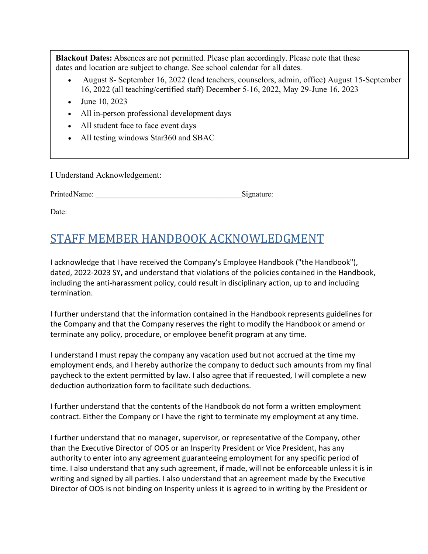**Blackout Dates:** Absences are not permitted. Please plan accordingly. Please note that these dates and location are subject to change. See school calendar for all dates.

- August 8- September 16, 2022 (lead teachers, counselors, admin, office) August 15-September 16, 2022 (all teaching/certified staff) December 5-16, 2022, May 29-June 16, 2023
- June 10, 2023
- All in-person professional development days
- All student face to face event days
- All testing windows Star360 and SBAC

I Understand Acknowledgement:

Printed Name:  $Signature:$ 

Date:

# <span id="page-62-0"></span>STAFF MEMBER HANDBOOK ACKNOWLEDGMENT

I acknowledge that I have received the Company's Employee Handbook ("the Handbook"), dated, 2022-2023 SY**,** and understand that violations of the policies contained in the Handbook, including the anti-harassment policy, could result in disciplinary action, up to and including termination.

I further understand that the information contained in the Handbook represents guidelines for the Company and that the Company reserves the right to modify the Handbook or amend or terminate any policy, procedure, or employee benefit program at any time.

I understand I must repay the company any vacation used but not accrued at the time my employment ends, and I hereby authorize the company to deduct such amounts from my final paycheck to the extent permitted by law. I also agree that if requested, I will complete a new deduction authorization form to facilitate such deductions.

I further understand that the contents of the Handbook do not form a written employment contract. Either the Company or I have the right to terminate my employment at any time.

I further understand that no manager, supervisor, or representative of the Company, other than the Executive Director of OOS or an Insperity President or Vice President, has any authority to enter into any agreement guaranteeing employment for any specific period of time. I also understand that any such agreement, if made, will not be enforceable unless it is in writing and signed by all parties. I also understand that an agreement made by the Executive Director of OOS is not binding on Insperity unless it is agreed to in writing by the President or